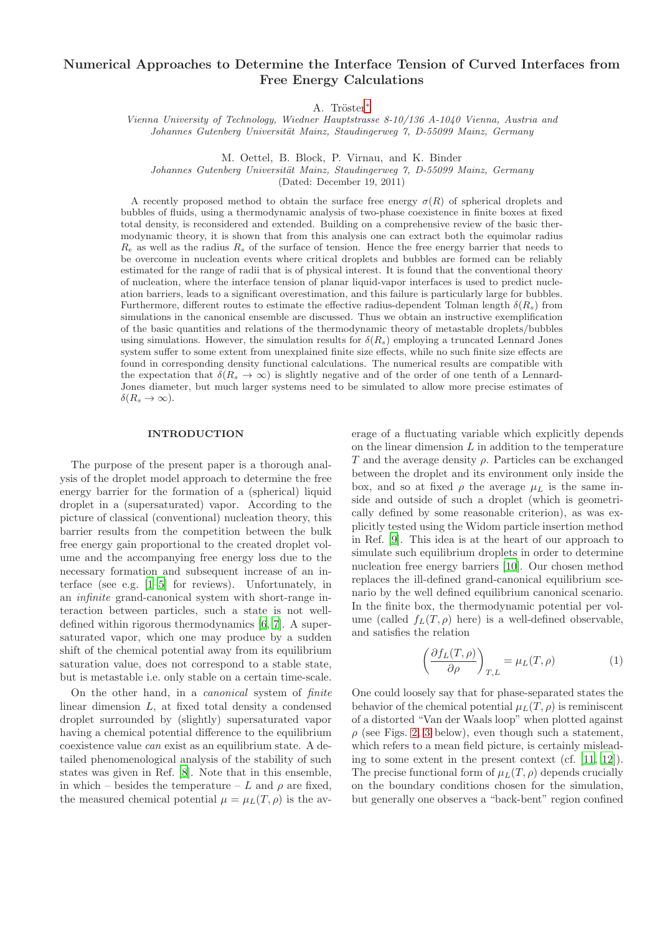# Numerical Approaches to Determine the Interface Tension of Curved Interfaces from Free Energy Calculations

A. Tröster<sup>\*</sup>

Vienna University of Technology, Wiedner Hauptstrasse 8-10/136 A-1040 Vienna, Austria and Johannes Gutenberg Universität Mainz, Staudingerweg 7, D-55099 Mainz, Germany

M. Oettel, B. Block, P. Virnau, and K. Binder

Johannes Gutenberg Universität Mainz, Staudingerweg 7, D-55099 Mainz, Germany

(Dated: December 19, 2011)

A recently proposed method to obtain the surface free energy  $\sigma(R)$  of spherical droplets and bubbles of fluids, using a thermodynamic analysis of two-phase coexistence in finite boxes at fixed total density, is reconsidered and extended. Building on a comprehensive review of the basic thermodynamic theory, it is shown that from this analysis one can extract both the equimolar radius  $R_e$  as well as the radius  $R_s$  of the surface of tension. Hence the free energy barrier that needs to be overcome in nucleation events where critical droplets and bubbles are formed can be reliably estimated for the range of radii that is of physical interest. It is found that the conventional theory of nucleation, where the interface tension of planar liquid-vapor interfaces is used to predict nucleation barriers, leads to a significant overestimation, and this failure is particularly large for bubbles. Furthermore, different routes to estimate the effective radius-dependent Tolman length  $\delta(R_s)$  from simulations in the canonical ensemble are discussed. Thus we obtain an instructive exemplification of the basic quantities and relations of the thermodynamic theory of metastable droplets/bubbles using simulations. However, the simulation results for  $\delta(R_s)$  employing a truncated Lennard Jones system suffer to some extent from unexplained finite size effects, while no such finite size effects are found in corresponding density functional calculations. The numerical results are compatible with the expectation that  $\delta(R_s \to \infty)$  is slightly negative and of the order of one tenth of a Lennard-Jones diameter, but much larger systems need to be simulated to allow more precise estimates of  $\delta(R_s \to \infty)$ .

#### INTRODUCTION

The purpose of the present paper is a thorough analysis of the droplet model approach to determine the free energy barrier for the formation of a (spherical) liquid droplet in a (supersaturated) vapor. According to the picture of classical (conventional) nucleation theory, this barrier results from the competition between the bulk free energy gain proportional to the created droplet volume and the accompanying free energy loss due to the necessary formation and subsequent increase of an interface (see e.g. [\[1](#page-15-1)[–5](#page-16-0)] for reviews). Unfortunately, in an infinite grand-canonical system with short-range interaction between particles, such a state is not welldefined within rigorous thermodynamics [\[6](#page-16-1), [7](#page-16-2)]. A supersaturated vapor, which one may produce by a sudden shift of the chemical potential away from its equilibrium saturation value, does not correspond to a stable state, but is metastable i.e. only stable on a certain time-scale.

On the other hand, in a canonical system of finite linear dimension L, at fixed total density a condensed droplet surrounded by (slightly) supersaturated vapor having a chemical potential difference to the equilibrium coexistence value can exist as an equilibrium state. A detailed phenomenological analysis of the stability of such states was given in Ref. [\[8\]](#page-16-3). Note that in this ensemble, in which – besides the temperature – L and  $\rho$  are fixed, the measured chemical potential  $\mu = \mu_L(T, \rho)$  is the average of a fluctuating variable which explicitly depends on the linear dimension  $L$  in addition to the temperature T and the average density  $\rho$ . Particles can be exchanged between the droplet and its environment only inside the box, and so at fixed  $\rho$  the average  $\mu$ <sub>L</sub> is the same inside and outside of such a droplet (which is geometrically defined by some reasonable criterion), as was explicitly tested using the Widom particle insertion method in Ref. [\[9\]](#page-16-4). This idea is at the heart of our approach to simulate such equilibrium droplets in order to determine nucleation free energy barriers [\[10\]](#page-16-5). Our chosen method replaces the ill-defined grand-canonical equilibrium scenario by the well defined equilibrium canonical scenario. In the finite box, the thermodynamic potential per volume (called  $f_L(T, \rho)$  here) is a well-defined observable, and satisfies the relation

$$
\left(\frac{\partial f_L(T,\rho)}{\partial \rho}\right)_{T,L} = \mu_L(T,\rho) \tag{1}
$$

One could loosely say that for phase-separated states the behavior of the chemical potential  $\mu_L(T, \rho)$  is reminiscent of a distorted "Van der Waals loop" when plotted against  $\rho$  (see Figs. [2,](#page-7-0) [3](#page-7-1) below), even though such a statement, which refers to a mean field picture, is certainly misleading to some extent in the present context (cf. [\[11,](#page-16-6) [12\]](#page-16-7)). The precise functional form of  $\mu_L(T, \rho)$  depends crucially on the boundary conditions chosen for the simulation, but generally one observes a "back-bent" region confined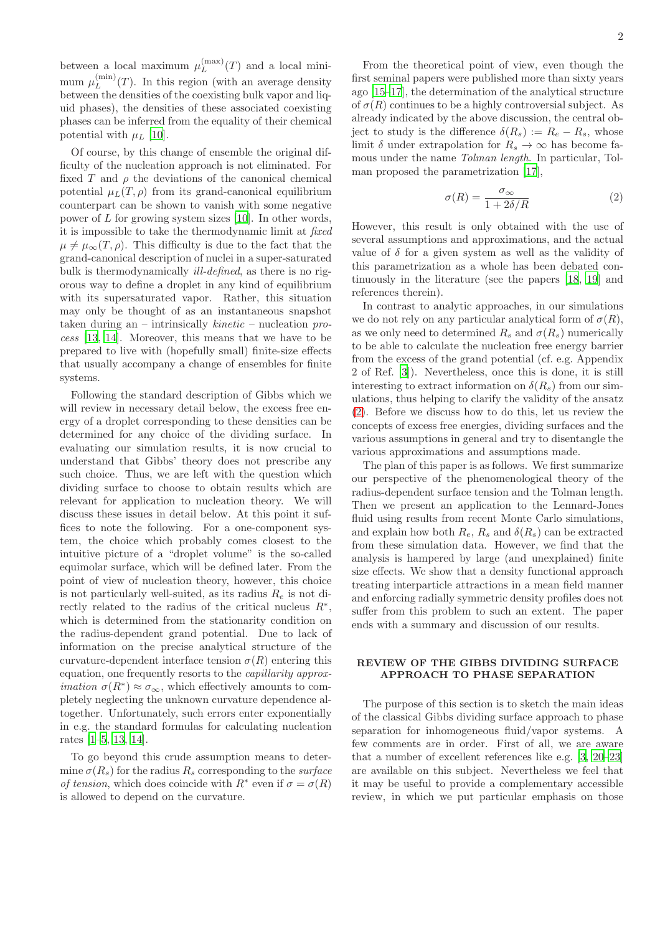between a local maximum  $\mu_L^{\text{(max)}}$  $L^{(\text{max})}(T)$  and a local minimum  $\mu_L^{\text{(min)}}$  $L^{(\text{mm})}(T)$ . In this region (with an average density between the densities of the coexisting bulk vapor and liquid phases), the densities of these associated coexisting phases can be inferred from the equality of their chemical potential with  $\mu_L$  [\[10\]](#page-16-5).

Of course, by this change of ensemble the original difficulty of the nucleation approach is not eliminated. For fixed T and  $\rho$  the deviations of the canonical chemical potential  $\mu_L(T, \rho)$  from its grand-canonical equilibrium counterpart can be shown to vanish with some negative power of L for growing system sizes [\[10](#page-16-5)]. In other words, it is impossible to take the thermodynamic limit at fixed  $\mu \neq \mu_{\infty}(T, \rho)$ . This difficulty is due to the fact that the grand-canonical description of nuclei in a super-saturated bulk is thermodynamically ill-defined, as there is no rigorous way to define a droplet in any kind of equilibrium with its supersaturated vapor. Rather, this situation may only be thought of as an instantaneous snapshot taken during an – intrinsically kinetic – nucleation process [\[13](#page-16-8), [14\]](#page-16-9). Moreover, this means that we have to be prepared to live with (hopefully small) finite-size effects that usually accompany a change of ensembles for finite systems.

Following the standard description of Gibbs which we will review in necessary detail below, the excess free energy of a droplet corresponding to these densities can be determined for any choice of the dividing surface. In evaluating our simulation results, it is now crucial to understand that Gibbs' theory does not prescribe any such choice. Thus, we are left with the question which dividing surface to choose to obtain results which are relevant for application to nucleation theory. We will discuss these issues in detail below. At this point it suffices to note the following. For a one-component system, the choice which probably comes closest to the intuitive picture of a "droplet volume" is the so-called equimolar surface, which will be defined later. From the point of view of nucleation theory, however, this choice is not particularly well-suited, as its radius  $R_e$  is not directly related to the radius of the critical nucleus  $R^*$ , which is determined from the stationarity condition on the radius-dependent grand potential. Due to lack of information on the precise analytical structure of the curvature-dependent interface tension  $\sigma(R)$  entering this equation, one frequently resorts to the capillarity approx*imation*  $\sigma(R^*) \approx \sigma_{\infty}$ , which effectively amounts to completely neglecting the unknown curvature dependence altogether. Unfortunately, such errors enter exponentially in e.g. the standard formulas for calculating nucleation rates [\[1](#page-15-1)[–5](#page-16-0), [13](#page-16-8), [14](#page-16-9)].

To go beyond this crude assumption means to determine  $\sigma(R_s)$  for the radius  $R_s$  corresponding to the *surface* of tension, which does coincide with  $R^*$  even if  $\sigma = \sigma(R)$ is allowed to depend on the curvature.

From the theoretical point of view, even though the first seminal papers were published more than sixty years ago [\[15](#page-16-10)[–17](#page-16-11)], the determination of the analytical structure of  $\sigma(R)$  continues to be a highly controversial subject. As already indicated by the above discussion, the central object to study is the difference  $\delta(R_s) := R_e - R_s$ , whose limit  $\delta$  under extrapolation for  $R_s \to \infty$  has become famous under the name *Tolman length*. In particular, Tolman proposed the parametrization [\[17](#page-16-11)],

<span id="page-1-0"></span>
$$
\sigma(R) = \frac{\sigma_{\infty}}{1 + 2\delta/R} \tag{2}
$$

However, this result is only obtained with the use of several assumptions and approximations, and the actual value of  $\delta$  for a given system as well as the validity of this parametrization as a whole has been debated continuously in the literature (see the papers [\[18,](#page-16-12) [19\]](#page-16-13) and references therein).

In contrast to analytic approaches, in our simulations we do not rely on any particular analytical form of  $\sigma(R)$ , as we only need to determined  $R_s$  and  $\sigma(R_s)$  numerically to be able to calculate the nucleation free energy barrier from the excess of the grand potential (cf. e.g. Appendix 2 of Ref. [\[3](#page-16-14)]). Nevertheless, once this is done, it is still interesting to extract information on  $\delta(R_s)$  from our simulations, thus helping to clarify the validity of the ansatz [\(2\)](#page-1-0). Before we discuss how to do this, let us review the concepts of excess free energies, dividing surfaces and the various assumptions in general and try to disentangle the various approximations and assumptions made.

The plan of this paper is as follows. We first summarize our perspective of the phenomenological theory of the radius-dependent surface tension and the Tolman length. Then we present an application to the Lennard-Jones fluid using results from recent Monte Carlo simulations, and explain how both  $R_e$ ,  $R_s$  and  $\delta(R_s)$  can be extracted from these simulation data. However, we find that the analysis is hampered by large (and unexplained) finite size effects. We show that a density functional approach treating interparticle attractions in a mean field manner and enforcing radially symmetric density profiles does not suffer from this problem to such an extent. The paper ends with a summary and discussion of our results.

## REVIEW OF THE GIBBS DIVIDING SURFACE APPROACH TO PHASE SEPARATION

The purpose of this section is to sketch the main ideas of the classical Gibbs dividing surface approach to phase separation for inhomogeneous fluid/vapor systems. A few comments are in order. First of all, we are aware that a number of excellent references like e.g. [\[3](#page-16-14), [20](#page-16-15)[–23](#page-16-16)] are available on this subject. Nevertheless we feel that it may be useful to provide a complementary accessible review, in which we put particular emphasis on those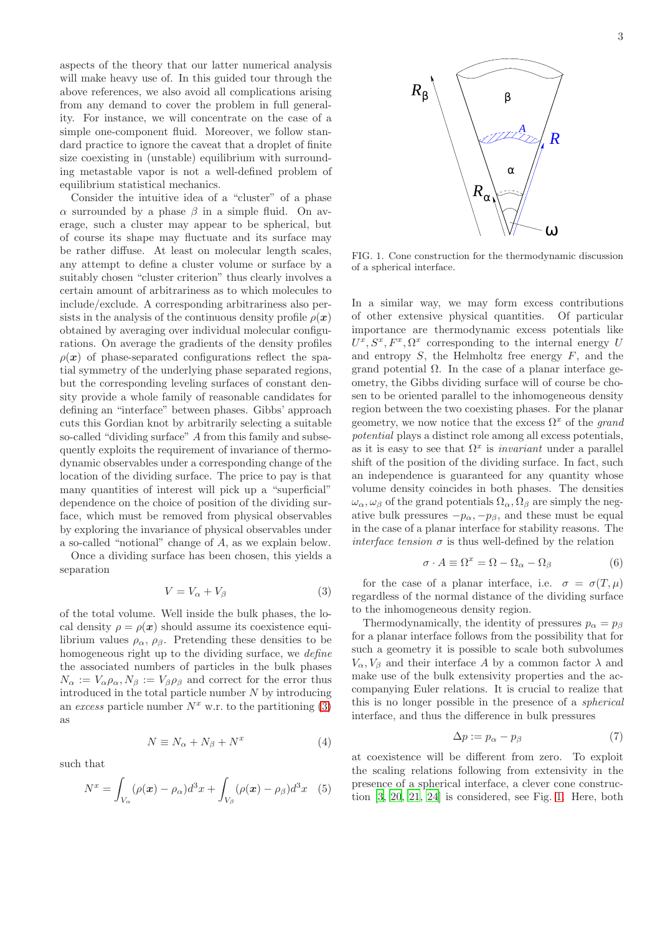aspects of the theory that our latter numerical analysis will make heavy use of. In this guided tour through the above references, we also avoid all complications arising from any demand to cover the problem in full generality. For instance, we will concentrate on the case of a simple one-component fluid. Moreover, we follow standard practice to ignore the caveat that a droplet of finite size coexisting in (unstable) equilibrium with surrounding metastable vapor is not a well-defined problem of equilibrium statistical mechanics.

Consider the intuitive idea of a "cluster" of a phase  $\alpha$  surrounded by a phase  $\beta$  in a simple fluid. On average, such a cluster may appear to be spherical, but of course its shape may fluctuate and its surface may be rather diffuse. At least on molecular length scales, any attempt to define a cluster volume or surface by a suitably chosen "cluster criterion" thus clearly involves a certain amount of arbitrariness as to which molecules to include/exclude. A corresponding arbitrariness also persists in the analysis of the continuous density profile  $\rho(\boldsymbol{x})$ obtained by averaging over individual molecular configurations. On average the gradients of the density profiles  $\rho(x)$  of phase-separated configurations reflect the spatial symmetry of the underlying phase separated regions, but the corresponding leveling surfaces of constant density provide a whole family of reasonable candidates for defining an "interface" between phases. Gibbs' approach cuts this Gordian knot by arbitrarily selecting a suitable so-called "dividing surface" A from this family and subsequently exploits the requirement of invariance of thermodynamic observables under a corresponding change of the location of the dividing surface. The price to pay is that many quantities of interest will pick up a "superficial" dependence on the choice of position of the dividing surface, which must be removed from physical observables by exploring the invariance of physical observables under a so-called "notional" change of A, as we explain below.

Once a dividing surface has been chosen, this yields a separation

<span id="page-2-0"></span>
$$
V = V_{\alpha} + V_{\beta} \tag{3}
$$

of the total volume. Well inside the bulk phases, the local density  $\rho = \rho(x)$  should assume its coexistence equilibrium values  $\rho_{\alpha}$ ,  $\rho_{\beta}$ . Pretending these densities to be homogeneous right up to the dividing surface, we *define* the associated numbers of particles in the bulk phases  $N_{\alpha} := V_{\alpha}\rho_{\alpha}, N_{\beta} := V_{\beta}\rho_{\beta}$  and correct for the error thus introduced in the total particle number N by introducing an excess particle number  $N^x$  w.r. to the partitioning [\(3\)](#page-2-0) as

$$
N \equiv N_{\alpha} + N_{\beta} + N^{x}
$$
 (4)

such that

$$
N^{x} = \int_{V_{\alpha}} (\rho(\boldsymbol{x}) - \rho_{\alpha}) d^{3}x + \int_{V_{\beta}} (\rho(\boldsymbol{x}) - \rho_{\beta}) d^{3}x \quad (5)
$$



<span id="page-2-1"></span>FIG. 1. Cone construction for the thermodynamic discussion of a spherical interface.

In a similar way, we may form excess contributions of other extensive physical quantities. Of particular importance are thermodynamic excess potentials like  $U^x, S^x, F^x, \Omega^x$  corresponding to the internal energy U and entropy  $S$ , the Helmholtz free energy  $F$ , and the grand potential Ω. In the case of a planar interface geometry, the Gibbs dividing surface will of course be chosen to be oriented parallel to the inhomogeneous density region between the two coexisting phases. For the planar geometry, we now notice that the excess  $\Omega^x$  of the grand potential plays a distinct role among all excess potentials, as it is easy to see that  $\Omega^x$  is *invariant* under a parallel shift of the position of the dividing surface. In fact, such an independence is guaranteed for any quantity whose volume density coincides in both phases. The densities  $\omega_{\alpha}, \omega_{\beta}$  of the grand potentials  $\Omega_{\alpha}, \Omega_{\beta}$  are simply the negative bulk pressures  $-p_{\alpha}, -p_{\beta}$ , and these must be equal in the case of a planar interface for stability reasons. The *interface tension*  $\sigma$  is thus well-defined by the relation

<span id="page-2-2"></span>
$$
\sigma \cdot A \equiv \Omega^x = \Omega - \Omega_\alpha - \Omega_\beta \tag{6}
$$

for the case of a planar interface, i.e.  $\sigma = \sigma(T, \mu)$ regardless of the normal distance of the dividing surface to the inhomogeneous density region.

Thermodynamically, the identity of pressures  $p_{\alpha} = p_{\beta}$ for a planar interface follows from the possibility that for such a geometry it is possible to scale both subvolumes  $V_{\alpha}$ ,  $V_{\beta}$  and their interface A by a common factor  $\lambda$  and make use of the bulk extensivity properties and the accompanying Euler relations. It is crucial to realize that this is no longer possible in the presence of a spherical interface, and thus the difference in bulk pressures

$$
\Delta p := p_{\alpha} - p_{\beta} \tag{7}
$$

at coexistence will be different from zero. To exploit the scaling relations following from extensivity in the presence of a spherical interface, a clever cone construction [\[3,](#page-16-14) [20](#page-16-15), [21,](#page-16-17) [24](#page-16-18)] is considered, see Fig. [1.](#page-2-1) Here, both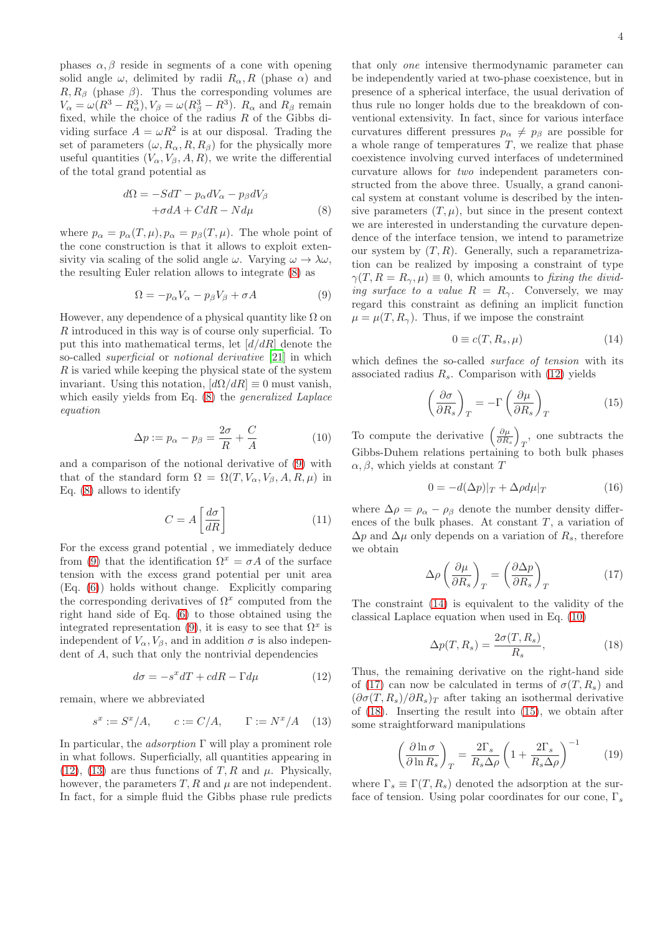phases  $\alpha, \beta$  reside in segments of a cone with opening solid angle  $\omega$ , delimited by radii  $R_{\alpha}$ , R (phase  $\alpha$ ) and  $R, R_\beta$  (phase  $\beta$ ). Thus the corresponding volumes are  $V_{\alpha} = \omega(R^3 - R_{\alpha}^3), V_{\beta} = \omega(R_{\beta}^3 - R^3)$ .  $R_{\alpha}$  and  $R_{\beta}$  remain fixed, while the choice of the radius R of the Gibbs dividing surface  $A = \omega R^2$  is at our disposal. Trading the set of parameters  $(\omega, R_{\alpha}, R, R_{\beta})$  for the physically more useful quantities  $(V_{\alpha}, V_{\beta}, A, R)$ , we write the differential of the total grand potential as

<span id="page-3-0"></span>
$$
d\Omega = -SdT - p_{\alpha}dV_{\alpha} - p_{\beta}dV_{\beta}
$$

$$
+\sigma dA + CdR - Nd\mu
$$
 (8)

where  $p_{\alpha} = p_{\alpha}(T,\mu), p_{\alpha} = p_{\beta}(T,\mu)$ . The whole point of the cone construction is that it allows to exploit extensivity via scaling of the solid angle  $\omega$ . Varying  $\omega \to \lambda \omega$ , the resulting Euler relation allows to integrate [\(8\)](#page-3-0) as

<span id="page-3-1"></span>
$$
\Omega = -p_{\alpha}V_{\alpha} - p_{\beta}V_{\beta} + \sigma A \tag{9}
$$

However, any dependence of a physical quantity like  $\Omega$  on R introduced in this way is of course only superficial. To put this into mathematical terms, let  $\left[d/dR\right]$  denote the so-called superficial or notional derivative [\[21](#page-16-17)] in which R is varied while keeping the physical state of the system invariant. Using this notation,  $\left|\frac{d\Omega}{dR}\right| \equiv 0$  must vanish, which easily yields from Eq.  $(8)$  the *generalized Laplace* equation

<span id="page-3-5"></span>
$$
\Delta p := p_{\alpha} - p_{\beta} = \frac{2\sigma}{R} + \frac{C}{A}
$$
 (10)

and a comparison of the notional derivative of [\(9\)](#page-3-1) with that of the standard form  $\Omega = \Omega(T, V_\alpha, V_\beta, A, R, \mu)$  in Eq. [\(8\)](#page-3-0) allows to identify

$$
C = A \left[ \frac{d\sigma}{dR} \right] \tag{11}
$$

For the excess grand potential , we immediately deduce from [\(9\)](#page-3-1) that the identification  $\Omega^x = \sigma A$  of the surface tension with the excess grand potential per unit area (Eq. [\(6\)](#page-2-2)) holds without change. Explicitly comparing the corresponding derivatives of  $\Omega^x$  computed from the right hand side of Eq. [\(6\)](#page-2-2) to those obtained using the integrated representation [\(9\)](#page-3-1), it is easy to see that  $\Omega^x$  is independent of  $V_{\alpha}$ ,  $V_{\beta}$ , and in addition  $\sigma$  is also independent of A, such that only the nontrivial dependencies

<span id="page-3-2"></span>
$$
d\sigma = -s^x dT + cdR - \Gamma d\mu \tag{12}
$$

remain, where we abbreviated

<span id="page-3-3"></span>
$$
s^x := S^x / A, \qquad c := C / A, \qquad \Gamma := N^x / A \quad (13)
$$

In particular, the *adsorption*  $\Gamma$  will play a prominent role in what follows. Superficially, all quantities appearing in [\(12\)](#page-3-2), [\(13\)](#page-3-3) are thus functions of T, R and  $\mu$ . Physically, however, the parameters  $T, R$  and  $\mu$  are not independent. In fact, for a simple fluid the Gibbs phase rule predicts that only one intensive thermodynamic parameter can be independently varied at two-phase coexistence, but in presence of a spherical interface, the usual derivation of thus rule no longer holds due to the breakdown of conventional extensivity. In fact, since for various interface curvatures different pressures  $p_{\alpha} \neq p_{\beta}$  are possible for a whole range of temperatures  $T$ , we realize that phase coexistence involving curved interfaces of undetermined curvature allows for two independent parameters constructed from the above three. Usually, a grand canonical system at constant volume is described by the intensive parameters  $(T, \mu)$ , but since in the present context we are interested in understanding the curvature dependence of the interface tension, we intend to parametrize our system by  $(T, R)$ . Generally, such a reparametrization can be realized by imposing a constraint of type  $\gamma(T, R = R_{\gamma}, \mu) \equiv 0$ , which amounts to fixing the dividing surface to a value  $R = R_{\gamma}$ . Conversely, we may regard this constraint as defining an implicit function  $\mu = \mu(T, R_\gamma)$ . Thus, if we impose the constraint

<span id="page-3-4"></span>
$$
0 \equiv c(T, R_s, \mu) \tag{14}
$$

which defines the so-called *surface* of tension with its associated radius  $R_s$ . Comparison with [\(12\)](#page-3-2) yields

<span id="page-3-8"></span>
$$
\left(\frac{\partial \sigma}{\partial R_s}\right)_T = -\Gamma \left(\frac{\partial \mu}{\partial R_s}\right)_T \tag{15}
$$

To compute the derivative  $\left(\frac{\partial \mu}{\partial R_s}\right)$  $\setminus$  $T$ , one subtracts the Gibbs-Duhem relations pertaining to both bulk phases  $\alpha$ ,  $\beta$ , which yields at constant T

$$
0 = -d(\Delta p)|_T + \Delta \rho d\mu|_T \tag{16}
$$

where  $\Delta \rho = \rho_{\alpha} - \rho_{\beta}$  denote the number density differences of the bulk phases. At constant  $T$ , a variation of  $\Delta p$  and  $\Delta \mu$  only depends on a variation of  $R_s$ , therefore we obtain

<span id="page-3-6"></span>
$$
\Delta \rho \left( \frac{\partial \mu}{\partial R_s} \right)_T = \left( \frac{\partial \Delta p}{\partial R_s} \right)_T \tag{17}
$$

The constraint [\(14\)](#page-3-4) is equivalent to the validity of the classical Laplace equation when used in Eq. [\(10\)](#page-3-5)

<span id="page-3-7"></span>
$$
\Delta p(T, R_s) = \frac{2\sigma(T, R_s)}{R_s},\tag{18}
$$

Thus, the remaining derivative on the right-hand side of [\(17\)](#page-3-6) can now be calculated in terms of  $\sigma(T, R_s)$  and  $(\partial \sigma(T, R_s)/\partial R_s)_T$  after taking an isothermal derivative of [\(18\)](#page-3-7). Inserting the result into [\(15\)](#page-3-8), we obtain after some straightforward manipulations

$$
\left(\frac{\partial \ln \sigma}{\partial \ln R_s}\right)_T = \frac{2\Gamma_s}{R_s \Delta \rho} \left(1 + \frac{2\Gamma_s}{R_s \Delta \rho}\right)^{-1} \tag{19}
$$

where  $\Gamma_s \equiv \Gamma(T, R_s)$  denoted the adsorption at the surface of tension. Using polar coordinates for our cone,  $\Gamma_s$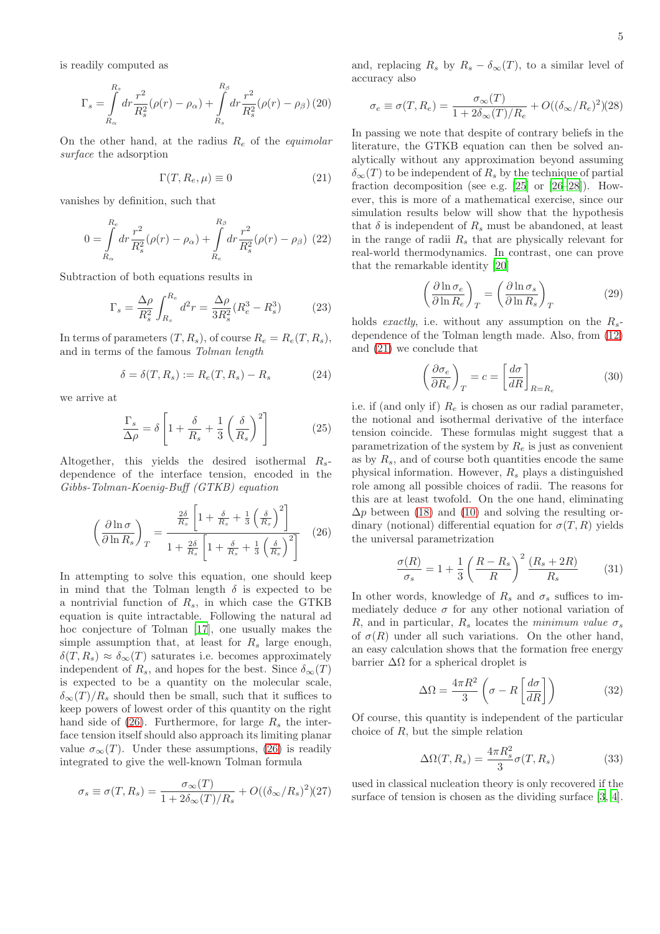is readily computed as

$$
\Gamma_s = \int\limits_{R_\alpha}^{R_s} dr \frac{r^2}{R_s^2} (\rho(r) - \rho_\alpha) + \int\limits_{R_s}^{R_\beta} dr \frac{r^2}{R_s^2} (\rho(r) - \rho_\beta) (20)
$$

On the other hand, at the radius  $R_e$  of the *equimolar* surface the adsorption

<span id="page-4-1"></span>
$$
\Gamma(T, R_e, \mu) \equiv 0 \tag{21}
$$

vanishes by definition, such that

$$
0 = \int_{R_{\alpha}}^{R_e} dr \frac{r^2}{R_s^2} (\rho(r) - \rho_{\alpha}) + \int_{R_e}^{R_{\beta}} dr \frac{r^2}{R_s^2} (\rho(r) - \rho_{\beta})
$$
 (22)

Subtraction of both equations results in

$$
\Gamma_s = \frac{\Delta \rho}{R_s^2} \int_{R_s}^{R_e} d^2 r = \frac{\Delta \rho}{3R_s^2} (R_e^3 - R_s^3) \tag{23}
$$

In terms of parameters  $(T, R_s)$ , of course  $R_e = R_e(T, R_s)$ , and in terms of the famous Tolman length

<span id="page-4-2"></span>
$$
\delta = \delta(T, R_s) := R_e(T, R_s) - R_s \tag{24}
$$

we arrive at

<span id="page-4-4"></span>
$$
\frac{\Gamma_s}{\Delta \rho} = \delta \left[ 1 + \frac{\delta}{R_s} + \frac{1}{3} \left( \frac{\delta}{R_s} \right)^2 \right]
$$
 (25)

Altogether, this yields the desired isothermal  $R_s$ dependence of the interface tension, encoded in the Gibbs-Tolman-Koenig-Buff (GTKB) equation

<span id="page-4-0"></span>
$$
\left(\frac{\partial \ln \sigma}{\partial \ln R_s}\right)_T = \frac{\frac{2\delta}{R_s} \left[1 + \frac{\delta}{R_s} + \frac{1}{3} \left(\frac{\delta}{R_s}\right)^2\right]}{1 + \frac{2\delta}{R_s} \left[1 + \frac{\delta}{R_s} + \frac{1}{3} \left(\frac{\delta}{R_s}\right)^2\right]} \tag{26}
$$

In attempting to solve this equation, one should keep in mind that the Tolman length  $\delta$  is expected to be a nontrivial function of  $R_s$ , in which case the GTKB equation is quite intractable. Following the natural ad hoc conjecture of Tolman [\[17](#page-16-11)], one usually makes the simple assumption that, at least for  $R_s$  large enough,  $\delta(T, R_s) \approx \delta_\infty(T)$  saturates i.e. becomes approximately independent of  $R_s$ , and hopes for the best. Since  $\delta_{\infty}(T)$ is expected to be a quantity on the molecular scale,  $\delta_{\infty}(T)/R_s$  should then be small, such that it suffices to keep powers of lowest order of this quantity on the right hand side of [\(26\)](#page-4-0). Furthermore, for large  $R_s$  the interface tension itself should also approach its limiting planar value  $\sigma_{\infty}(T)$ . Under these assumptions, [\(26\)](#page-4-0) is readily integrated to give the well-known Tolman formula

<span id="page-4-3"></span>
$$
\sigma_s \equiv \sigma(T, R_s) = \frac{\sigma_{\infty}(T)}{1 + 2\delta_{\infty}(T)/R_s} + O((\delta_{\infty}/R_s)^2)(27)
$$

and, replacing  $R_s$  by  $R_s - \delta_\infty(T)$ , to a similar level of accuracy also

$$
\sigma_e \equiv \sigma(T, R_e) = \frac{\sigma_{\infty}(T)}{1 + 2\delta_{\infty}(T)/R_e} + O((\delta_{\infty}/R_e)^2)(28)
$$

In passing we note that despite of contrary beliefs in the literature, the GTKB equation can then be solved analytically without any approximation beyond assuming  $\delta_{\infty}(T)$  to be independent of  $R_s$  by the technique of partial fraction decomposition (see e.g. [\[25\]](#page-16-19) or [\[26](#page-16-20)[–28\]](#page-16-21)). However, this is more of a mathematical exercise, since our simulation results below will show that the hypothesis that  $\delta$  is independent of  $R_s$  must be abandoned, at least in the range of radii  $R_s$  that are physically relevant for real-world thermodynamics. In contrast, one can prove that the remarkable identity [\[20\]](#page-16-15)

$$
\left(\frac{\partial \ln \sigma_e}{\partial \ln R_e}\right)_T = \left(\frac{\partial \ln \sigma_s}{\partial \ln R_s}\right)_T \tag{29}
$$

holds exactly, i.e. without any assumption on the  $R_s$ dependence of the Tolman length made. Also, from [\(12\)](#page-3-2) and [\(21\)](#page-4-1) we conclude that

$$
\left(\frac{\partial \sigma_e}{\partial R_e}\right)_T = c = \left[\frac{d\sigma}{dR}\right]_{R=R_e}
$$
\n(30)

i.e. if (and only if)  $R_e$  is chosen as our radial parameter, the notional and isothermal derivative of the interface tension coincide. These formulas might suggest that a parametrization of the system by  $R_e$  is just as convenient as by  $R_s$ , and of course both quantities encode the same physical information. However,  $R_s$  plays a distinguished role among all possible choices of radii. The reasons for this are at least twofold. On the one hand, eliminating  $\Delta p$  between [\(18\)](#page-3-7) and [\(10\)](#page-3-5) and solving the resulting ordinary (notional) differential equation for  $\sigma(T, R)$  yields the universal parametrization

<span id="page-4-5"></span>
$$
\frac{\sigma(R)}{\sigma_s} = 1 + \frac{1}{3} \left( \frac{R - R_s}{R} \right)^2 \frac{(R_s + 2R)}{R_s} \tag{31}
$$

In other words, knowledge of  $R_s$  and  $\sigma_s$  suffices to immediately deduce  $\sigma$  for any other notional variation of R, and in particular,  $R_s$  locates the minimum value  $\sigma_s$ of  $\sigma(R)$  under all such variations. On the other hand, an easy calculation shows that the formation free energy barrier  $\Delta\Omega$  for a spherical droplet is

$$
\Delta\Omega = \frac{4\pi R^2}{3} \left( \sigma - R \left[ \frac{d\sigma}{dR} \right] \right) \tag{32}
$$

Of course, this quantity is independent of the particular choice of  $R$ , but the simple relation

<span id="page-4-6"></span>
$$
\Delta\Omega(T, R_s) = \frac{4\pi R_s^2}{3}\sigma(T, R_s)
$$
\n(33)

used in classical nucleation theory is only recovered if the surface of tension is chosen as the dividing surface [\[3,](#page-16-14) [4\]](#page-16-22).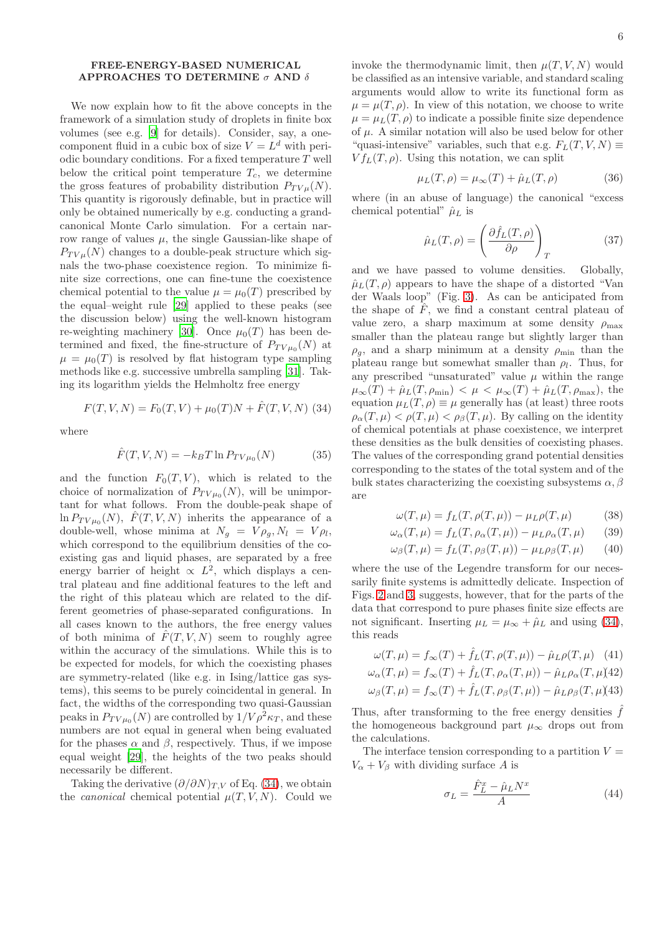We now explain how to fit the above concepts in the framework of a simulation study of droplets in finite box volumes (see e.g. [\[9\]](#page-16-4) for details). Consider, say, a onecomponent fluid in a cubic box of size  $V = L<sup>d</sup>$  with periodic boundary conditions. For a fixed temperature  $T$  well below the critical point temperature  $T_c$ , we determine the gross features of probability distribution  $P_{TV\mu}(N)$ . This quantity is rigorously definable, but in practice will only be obtained numerically by e.g. conducting a grandcanonical Monte Carlo simulation. For a certain narrow range of values  $\mu$ , the single Gaussian-like shape of  $P_{TV\mu}(N)$  changes to a double-peak structure which signals the two-phase coexistence region. To minimize finite size corrections, one can fine-tune the coexistence chemical potential to the value  $\mu = \mu_0(T)$  prescribed by the equal–weight rule [\[29](#page-16-23)] applied to these peaks (see the discussion below) using the well-known histogram re-weighting machinery [\[30](#page-16-24)]. Once  $\mu_0(T)$  has been determined and fixed, the fine-structure of  $P_{TV\mu_0}(N)$  at  $\mu = \mu_0(T)$  is resolved by flat histogram type sampling methods like e.g. successive umbrella sampling [\[31](#page-16-25)]. Taking its logarithm yields the Helmholtz free energy

<span id="page-5-0"></span>
$$
F(T, V, N) = F_0(T, V) + \mu_0(T)N + \hat{F}(T, V, N)
$$
 (34)

where

$$
\hat{F}(T, V, N) = -k_B T \ln P_{TV\mu_0}(N) \tag{35}
$$

and the function  $F_0(T, V)$ , which is related to the choice of normalization of  $P_{TV\mu_0}(N)$ , will be unimportant for what follows. From the double-peak shape of  $\ln P_{TV\mu_0}(N)$ ,  $\hat{F}(T, V, N)$  inherits the appearance of a double-well, whose minima at  $N_g = V \rho_g, N_l = V \rho_l$ , which correspond to the equilibrium densities of the coexisting gas and liquid phases, are separated by a free energy barrier of height  $\propto L^2$ , which displays a central plateau and fine additional features to the left and the right of this plateau which are related to the different geometries of phase-separated configurations. In all cases known to the authors, the free energy values of both minima of  $\hat{F}(T, V, N)$  seem to roughly agree within the accuracy of the simulations. While this is to be expected for models, for which the coexisting phases are symmetry-related (like e.g. in Ising/lattice gas systems), this seems to be purely coincidental in general. In fact, the widths of the corresponding two quasi-Gaussian peaks in  $P_{TV\mu_0}(N)$  are controlled by  $1/V\rho^2\kappa_T$ , and these numbers are not equal in general when being evaluated for the phases  $\alpha$  and  $\beta$ , respectively. Thus, if we impose equal weight [\[29\]](#page-16-23), the heights of the two peaks should necessarily be different.

Taking the derivative  $\left(\frac{\partial}{\partial N}\right)_{T,V}$  of Eq. [\(34\)](#page-5-0), we obtain the *canonical* chemical potential  $\mu(T, V, N)$ . Could we invoke the thermodynamic limit, then  $\mu(T, V, N)$  would be classified as an intensive variable, and standard scaling arguments would allow to write its functional form as  $\mu = \mu(T, \rho)$ . In view of this notation, we choose to write  $\mu = \mu_L(T, \rho)$  to indicate a possible finite size dependence of  $\mu$ . A similar notation will also be used below for other "quasi-intensive" variables, such that e.g.  $F_L(T, V, N) \equiv$  $V f_L(T, \rho)$ . Using this notation, we can split

$$
\mu_L(T, \rho) = \mu_\infty(T) + \hat{\mu}_L(T, \rho) \tag{36}
$$

where (in an abuse of language) the canonical "excess chemical potential"  $\hat{\mu}_L$  is

$$
\hat{\mu}_L(T,\rho) = \left(\frac{\partial \hat{f}_L(T,\rho)}{\partial \rho}\right)_T \tag{37}
$$

and we have passed to volume densities. Globally,  $\hat{\mu}_L(T,\rho)$  appears to have the shape of a distorted "Van der Waals loop" (Fig. [3\)](#page-7-1). As can be anticipated from the shape of  $\hat{F}$ , we find a constant central plateau of value zero, a sharp maximum at some density  $\rho_{\text{max}}$ smaller than the plateau range but slightly larger than  $\rho_q$ , and a sharp minimum at a density  $\rho_{\min}$  than the plateau range but somewhat smaller than  $\rho_l$ . Thus, for any prescribed "unsaturated" value  $\mu$  within the range  $\mu_{\infty}(T) + \hat{\mu}_L(T, \rho_{\min}) < \mu < \mu_{\infty}(T) + \hat{\mu}_L(T, \rho_{\max}),$  the equation  $\mu_L(T, \rho) \equiv \mu$  generally has (at least) three roots  $\rho_{\alpha}(T,\mu) < \rho(T,\mu) < \rho_{\beta}(T,\mu)$ . By calling on the identity of chemical potentials at phase coexistence, we interpret these densities as the bulk densities of coexisting phases. The values of the corresponding grand potential densities corresponding to the states of the total system and of the bulk states characterizing the coexisting subsystems  $\alpha$ ,  $\beta$ are

$$
\omega(T,\mu) = f_L(T,\rho(T,\mu)) - \mu_L \rho(T,\mu) \tag{38}
$$

$$
\omega_{\alpha}(T,\mu) = f_L(T,\rho_{\alpha}(T,\mu)) - \mu_L \rho_{\alpha}(T,\mu) \qquad (39)
$$

$$
\omega_{\beta}(T,\mu) = f_L(T,\rho_{\beta}(T,\mu)) - \mu_L \rho_{\beta}(T,\mu) \qquad (40)
$$

where the use of the Legendre transform for our necessarily finite systems is admittedly delicate. Inspection of Figs. [2](#page-7-0) and [3,](#page-7-1) suggests, however, that for the parts of the data that correspond to pure phases finite size effects are not significant. Inserting  $\mu_L = \mu_\infty + \hat{\mu}_L$  and using [\(34\)](#page-5-0), this reads

$$
\omega(T,\mu) = f_{\infty}(T) + \hat{f}_L(T,\rho(T,\mu)) - \hat{\mu}_L \rho(T,\mu)
$$
 (41)  

$$
\omega_{\alpha}(T,\mu) = f_{\infty}(T) + \hat{f}_L(T,\rho_{\alpha}(T,\mu)) - \hat{\mu}_L \rho_{\alpha}(T,\mu)
$$
 (42)

$$
\omega_{\beta}(T,\mu) = f_{\infty}(T) + \hat{f}_{L}(T,\rho_{\beta}(T,\mu)) - \hat{\mu}_{L}\rho_{\beta}(T,\mu)
$$

Thus, after transforming to the free energy densities  $\hat{f}$ the homogeneous background part  $\mu_{\infty}$  drops out from the calculations.

The interface tension corresponding to a partition  $V =$  $V_{\alpha} + V_{\beta}$  with dividing surface A is

<span id="page-5-1"></span>
$$
\sigma_L = \frac{\hat{F}_L^x - \hat{\mu}_L N^x}{A} \tag{44}
$$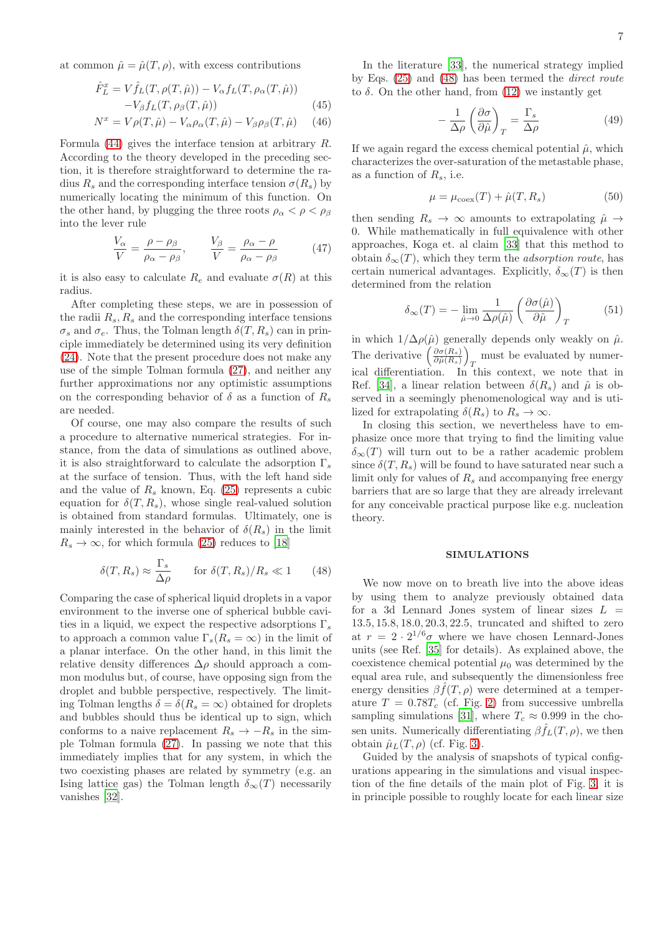at common  $\hat{\mu} = \hat{\mu}(T, \rho)$ , with excess contributions

<span id="page-6-1"></span>
$$
\hat{F}_L^x = V \hat{f}_L(T, \rho(T, \hat{\mu})) - V_\alpha f_L(T, \rho_\alpha(T, \hat{\mu})) \n- V_\beta f_L(T, \rho_\beta(T, \hat{\mu}))
$$
\n(45)

$$
N^{x} = V\rho(T, \hat{\mu}) - V_{\alpha}\rho_{\alpha}(T, \hat{\mu}) - V_{\beta}\rho_{\beta}(T, \hat{\mu}) \qquad (46)
$$

Formula [\(44\)](#page-5-1) gives the interface tension at arbitrary R. According to the theory developed in the preceding section, it is therefore straightforward to determine the radius  $R_s$  and the corresponding interface tension  $\sigma(R_s)$  by numerically locating the minimum of this function. On the other hand, by plugging the three roots  $\rho_{\alpha} < \rho < \rho_{\beta}$ into the lever rule

<span id="page-6-2"></span>
$$
\frac{V_{\alpha}}{V} = \frac{\rho - \rho_{\beta}}{\rho_{\alpha} - \rho_{\beta}}, \qquad \frac{V_{\beta}}{V} = \frac{\rho_{\alpha} - \rho}{\rho_{\alpha} - \rho_{\beta}} \tag{47}
$$

it is also easy to calculate  $R_e$  and evaluate  $\sigma(R)$  at this radius.

After completing these steps, we are in possession of the radii  $R_s, R_s$  and the corresponding interface tensions  $\sigma_s$  and  $\sigma_e$ . Thus, the Tolman length  $\delta(T, R_s)$  can in principle immediately be determined using its very definition [\(24\)](#page-4-2). Note that the present procedure does not make any use of the simple Tolman formula [\(27\)](#page-4-3), and neither any further approximations nor any optimistic assumptions on the corresponding behavior of  $\delta$  as a function of  $R_s$ are needed.

Of course, one may also compare the results of such a procedure to alternative numerical strategies. For instance, from the data of simulations as outlined above, it is also straightforward to calculate the adsorption  $\Gamma_s$ at the surface of tension. Thus, with the left hand side and the value of  $R_s$  known, Eq. [\(25\)](#page-4-4) represents a cubic equation for  $\delta(T, R_s)$ , whose single real-valued solution is obtained from standard formulas. Ultimately, one is mainly interested in the behavior of  $\delta(R_s)$  in the limit  $R_s \to \infty$ , for which formula [\(25\)](#page-4-4) reduces to [\[18](#page-16-12)]

<span id="page-6-0"></span>
$$
\delta(T, R_s) \approx \frac{\Gamma_s}{\Delta \rho} \qquad \text{for } \delta(T, R_s) / R_s \ll 1 \qquad (48)
$$

Comparing the case of spherical liquid droplets in a vapor environment to the inverse one of spherical bubble cavities in a liquid, we expect the respective adsorptions  $\Gamma_s$ to approach a common value  $\Gamma_s(R_s = \infty)$  in the limit of a planar interface. On the other hand, in this limit the relative density differences  $\Delta \rho$  should approach a common modulus but, of course, have opposing sign from the droplet and bubble perspective, respectively. The limiting Tolman lengths  $\delta = \delta(R_s = \infty)$  obtained for droplets and bubbles should thus be identical up to sign, which conforms to a naive replacement  $R_s \to -R_s$  in the simple Tolman formula [\(27\)](#page-4-3). In passing we note that this immediately implies that for any system, in which the two coexisting phases are related by symmetry (e.g. an Ising lattice gas) the Tolman length  $\delta_{\infty}(T)$  necessarily vanishes [\[32\]](#page-16-26).

In the literature [\[33\]](#page-16-27), the numerical strategy implied by Eqs.  $(25)$  and  $(48)$  has been termed the *direct route* to  $\delta$ . On the other hand, from [\(12\)](#page-3-2) we instantly get

$$
-\frac{1}{\Delta \rho} \left( \frac{\partial \sigma}{\partial \hat{\mu}} \right)_T = \frac{\Gamma_s}{\Delta \rho} \tag{49}
$$

If we again regard the excess chemical potential  $\hat{\mu}$ , which characterizes the over-saturation of the metastable phase, as a function of  $R_s$ , i.e.

$$
\mu = \mu_{\text{coex}}(T) + \hat{\mu}(T, R_s) \tag{50}
$$

then sending  $R_s \to \infty$  amounts to extrapolating  $\hat{\mu} \to$ 0. While mathematically in full equivalence with other approaches, Koga et. al claim [\[33](#page-16-27)] that this method to obtain  $\delta_{\infty}(T)$ , which they term the *adsorption route*, has certain numerical advantages. Explicitly,  $\delta_{\infty}(T)$  is then determined from the relation

$$
\delta_{\infty}(T) = -\lim_{\hat{\mu}\to 0} \frac{1}{\Delta \rho(\hat{\mu})} \left(\frac{\partial \sigma(\hat{\mu})}{\partial \hat{\mu}}\right)_T \tag{51}
$$

in which  $1/\Delta \rho(\hat{\mu})$  generally depends only weakly on  $\hat{\mu}$ . The derivative  $\left(\frac{\partial \sigma(R_s)}{\partial \hat{u}(R_s)}\right)$  $\partial \hat{\mu}(R_s)$  $\overline{ }$ must be evaluated by numer-<br> $T_{\text{max}}$ ical differentiation. In this context, we note that in Ref. [\[34\]](#page-16-28), a linear relation between  $\delta(R_s)$  and  $\hat{\mu}$  is observed in a seemingly phenomenological way and is utilized for extrapolating  $\delta(R_s)$  to  $R_s \to \infty$ .

In closing this section, we nevertheless have to emphasize once more that trying to find the limiting value  $\delta_{\infty}(T)$  will turn out to be a rather academic problem since  $\delta(T, R_s)$  will be found to have saturated near such a limit only for values of  $R_s$  and accompanying free energy barriers that are so large that they are already irrelevant for any conceivable practical purpose like e.g. nucleation theory.

## SIMULATIONS

We now move on to breath live into the above ideas by using them to analyze previously obtained data for a 3d Lennard Jones system of linear sizes  $L =$ 13.5, 15.8, 18.0, 20.3, 22.5, truncated and shifted to zero at  $r = 2 \cdot 2^{1/6} \sigma$  where we have chosen Lennard-Jones units (see Ref. [\[35](#page-16-29)] for details). As explained above, the coexistence chemical potential  $\mu_0$  was determined by the equal area rule, and subsequently the dimensionless free energy densities  $\beta f(T,\rho)$  were determined at a temperature  $T = 0.78T_c$  (cf. Fig. [2\)](#page-7-0) from successive umbrella sampling simulations [\[31](#page-16-25)], where  $T_c \approx 0.999$  in the chosen units. Numerically differentiating  $\beta f_L(T,\rho)$ , we then obtain  $\hat{\mu}_L(T,\rho)$  (cf. Fig. [3\)](#page-7-1).

Guided by the analysis of snapshots of typical configurations appearing in the simulations and visual inspection of the fine details of the main plot of Fig. [3,](#page-7-1) it is in principle possible to roughly locate for each linear size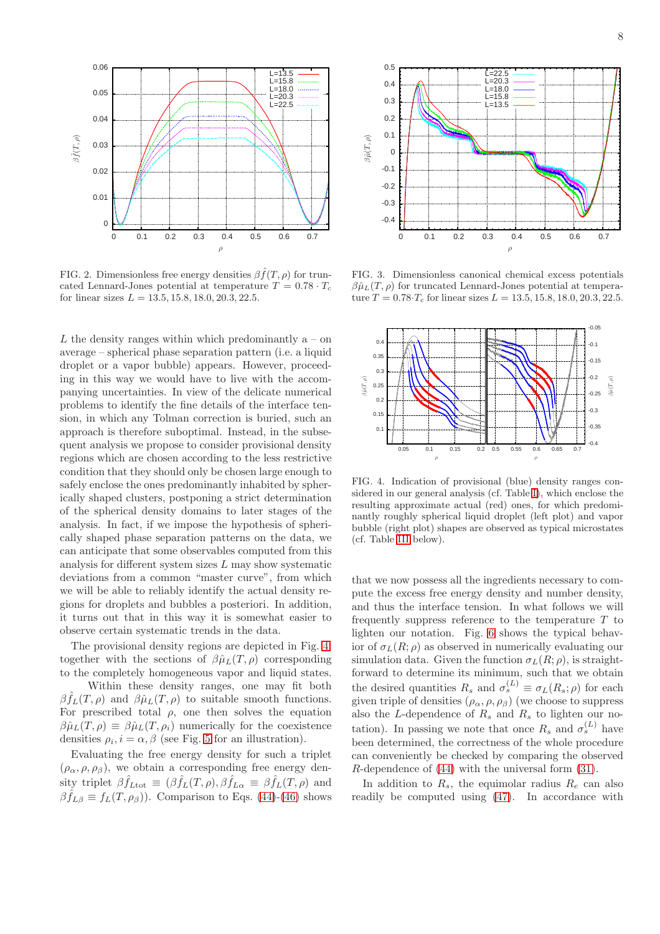

<span id="page-7-0"></span>FIG. 2. Dimensionless free energy densities  $\beta \hat{f}(T,\rho)$  for truncated Lennard-Jones potential at temperature  $T = 0.78 \cdot T_c$ for linear sizes  $L = 13.5, 15.8, 18.0, 20.3, 22.5$ .

L the density ranges within which predominantly  $a - on$ average – spherical phase separation pattern (i.e. a liquid droplet or a vapor bubble) appears. However, proceeding in this way we would have to live with the accompanying uncertainties. In view of the delicate numerical problems to identify the fine details of the interface tension, in which any Tolman correction is buried, such an approach is therefore suboptimal. Instead, in the subsequent analysis we propose to consider provisional density regions which are chosen according to the less restrictive condition that they should only be chosen large enough to safely enclose the ones predominantly inhabited by spherically shaped clusters, postponing a strict determination of the spherical density domains to later stages of the analysis. In fact, if we impose the hypothesis of spherically shaped phase separation patterns on the data, we can anticipate that some observables computed from this analysis for different system sizes  $L$  may show systematic deviations from a common "master curve", from which we will be able to reliably identify the actual density regions for droplets and bubbles a posteriori. In addition, it turns out that in this way it is somewhat easier to observe certain systematic trends in the data.

The provisional density regions are depicted in Fig. [4,](#page-7-2) together with the sections of  $\beta \hat{\mu}_L(T,\rho)$  corresponding to the completely homogeneous vapor and liquid states. Within these density ranges, one may fit both  $\beta f_L(T,\rho)$  and  $\beta \hat{\mu}_L(T,\rho)$  to suitable smooth functions. For prescribed total  $\rho$ , one then solves the equation  $\beta \hat{\mu}_L(T,\rho) \equiv \beta \hat{\mu}_L(T,\rho_i)$  numerically for the coexistence densities  $\rho_i$ ,  $i = \alpha, \beta$  (see Fig. [5](#page-8-0) for an illustration).

Evaluating the free energy density for such a triplet  $(\rho_{\alpha}, \rho, \rho_{\beta})$ , we obtain a corresponding free energy density triplet  $\beta \hat{f}_{L\text{tot}} \equiv (\beta \hat{f}_L(T,\rho), \beta \hat{f}_{L\alpha} \equiv \beta \hat{f}_L(T,\rho)$  and  $\beta \hat{f}_{LB} \equiv f_L(T,\rho_\beta)$ . Comparison to Eqs. [\(44\)](#page-5-1)-[\(46\)](#page-6-1) shows



<span id="page-7-1"></span>FIG. 3. Dimensionless canonical chemical excess potentials  $\beta \hat{\mu}_L(T,\rho)$  for truncated Lennard-Jones potential at temperature  $T = 0.78 \cdot T_c$  for linear sizes  $L = 13.5, 15.8, 18.0, 20.3, 22.5$ .



<span id="page-7-2"></span>FIG. 4. Indication of provisional (blue) density ranges considered in our general analysis (cf. Table [I\)](#page-8-1), which enclose the resulting approximate actual (red) ones, for which predominantly roughly spherical liquid droplet (left plot) and vapor bubble (right plot) shapes are observed as typical microstates (cf. Table [III](#page-9-0) below).

that we now possess all the ingredients necessary to compute the excess free energy density and number density, and thus the interface tension. In what follows we will frequently suppress reference to the temperature  $T$  to lighten our notation. Fig. [6](#page-8-2) shows the typical behavior of  $\sigma_L(R;\rho)$  as observed in numerically evaluating our simulation data. Given the function  $\sigma_L(R;\rho)$ , is straightforward to determine its minimum, such that we obtain the desired quantities  $R_s$  and  $\sigma_s^{(L)} \equiv \sigma_L(R_s; \rho)$  for each given triple of densities  $(\rho_{\alpha}, \rho, \rho_{\beta})$  (we choose to suppress also the L-dependence of  $R_s$  and  $R_s$  to lighten our notation). In passing we note that once  $R_s$  and  $\sigma_s^{(L)}$  have been determined, the correctness of the whole procedure can conveniently be checked by comparing the observed R-dependence of [\(44\)](#page-5-1) with the universal form [\(31\)](#page-4-5).

In addition to  $R_s$ , the equimolar radius  $R_e$  can also readily be computed using [\(47\)](#page-6-2). In accordance with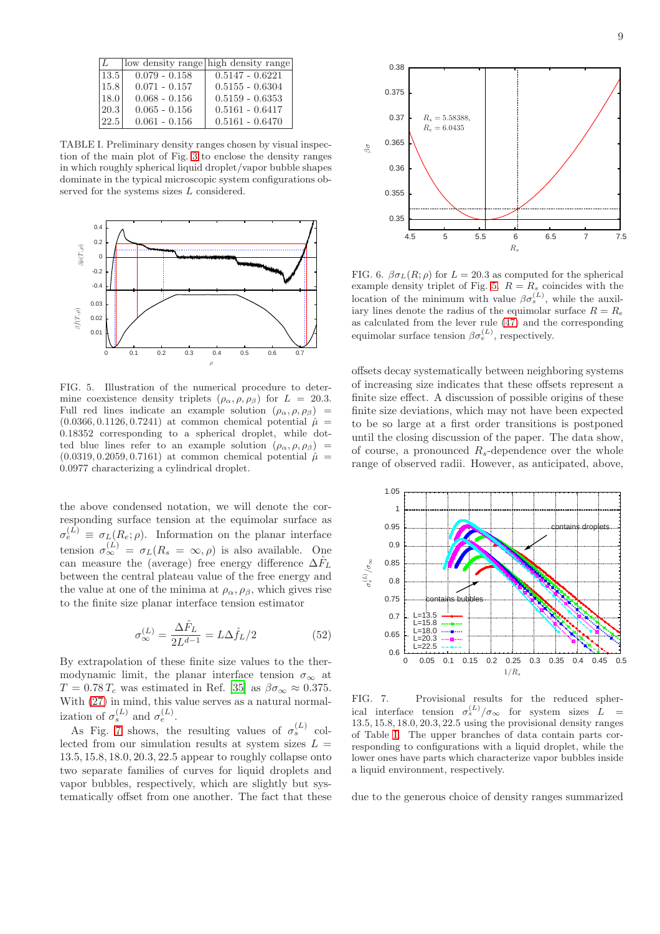| L    |                 | low density range high density range |
|------|-----------------|--------------------------------------|
| 13.5 | $0.079 - 0.158$ | $0.5147 - 0.6221$                    |
| 15.8 | $0.071 - 0.157$ | $0.5155 - 0.6304$                    |
| 18.0 | $0.068 - 0.156$ | $0.5159 - 0.6353$                    |
| 20.3 | $0.065 - 0.156$ | $0.5161 - 0.6417$                    |
| 22.5 | $0.061 - 0.156$ | $0.5161 - 0.6470$                    |

<span id="page-8-1"></span>TABLE I. Preliminary density ranges chosen by visual inspection of the main plot of Fig. [3](#page-7-1) to enclose the density ranges in which roughly spherical liquid droplet/vapor bubble shapes dominate in the typical microscopic system configurations observed for the systems sizes  ${\cal L}$  considered.



<span id="page-8-0"></span>FIG. 5. Illustration of the numerical procedure to determine coexistence density triplets  $(\rho_{\alpha}, \rho, \rho_{\beta})$  for  $L = 20.3$ . Full red lines indicate an example solution  $(\rho_{\alpha}, \rho, \rho_{\beta})$ (0.0366, 0.1126, 0.7241) at common chemical potential  $\hat{\mu}$  = 0.18352 corresponding to a spherical droplet, while dotted blue lines refer to an example solution  $(\rho_{\alpha}, \rho, \rho_{\beta})$  =  $(0.0319, 0.2059, 0.7161)$  at common chemical potential  $\hat{\mu} =$ 0.0977 characterizing a cylindrical droplet.

the above condensed notation, we will denote the corresponding surface tension at the equimolar surface as  $\sigma_e^{(L)} \equiv \sigma_L(R_e; \rho)$ . Information on the planar interface tension  $\sigma_{\infty}^{(L)} = \sigma_L(R_s = \infty, \rho)$  is also available. One can measure the (average) free energy difference  $\Delta F_L$ between the central plateau value of the free energy and the value at one of the minima at  $\rho_{\alpha}, \rho_{\beta}$ , which gives rise to the finite size planar interface tension estimator

$$
\sigma_{\infty}^{(L)} = \frac{\Delta \hat{F}_L}{2L^{d-1}} = L\Delta \hat{f}_L/2
$$
\n(52)

By extrapolation of these finite size values to the thermodynamic limit, the planar interface tension  $\sigma_{\infty}$  at  $T = 0.78 T_c$  was estimated in Ref. [\[35\]](#page-16-29) as  $\beta \sigma_{\infty} \approx 0.375$ . With  $(27)$  in mind, this value serves as a natural normalization of  $\sigma_s^{(L)}$  and  $\sigma_e^{(L)}$ .

As Fig. [7](#page-8-3) shows, the resulting values of  $\sigma_s^{(L)}$  collected from our simulation results at system sizes  $L =$ 13.5, 15.8, 18.0, 20.3, 22.5 appear to roughly collapse onto two separate families of curves for liquid droplets and vapor bubbles, respectively, which are slightly but systematically offset from one another. The fact that these



<span id="page-8-2"></span>FIG. 6.  $\beta \sigma_L(R;\rho)$  for  $L = 20.3$  as computed for the spherical example density triplet of Fig. [5.](#page-8-0)  $R = R_s$  coincides with the location of the minimum with value  $\beta \sigma_s^{(L)}$ , while the auxiliary lines denote the radius of the equimolar surface  $R = R_e$ as calculated from the lever rule [\(47\)](#page-6-2) and the corresponding equimolar surface tension  $\beta \sigma_e^{(L)}$ , respectively.

offsets decay systematically between neighboring systems of increasing size indicates that these offsets represent a finite size effect. A discussion of possible origins of these finite size deviations, which may not have been expected to be so large at a first order transitions is postponed until the closing discussion of the paper. The data show, of course, a pronounced  $R_s$ -dependence over the whole range of observed radii. However, as anticipated, above,



<span id="page-8-3"></span>FIG. 7. Provisional results for the reduced spherical interface tension  $\sigma_s^{(L)}/\sigma_{\infty}$  for system sizes  $L =$ 13.5, 15.8, 18.0, 20.3, 22.5 using the provisional density ranges of Table [I.](#page-8-1) The upper branches of data contain parts corresponding to configurations with a liquid droplet, while the lower ones have parts which characterize vapor bubbles inside a liquid environment, respectively.

due to the generous choice of density ranges summarized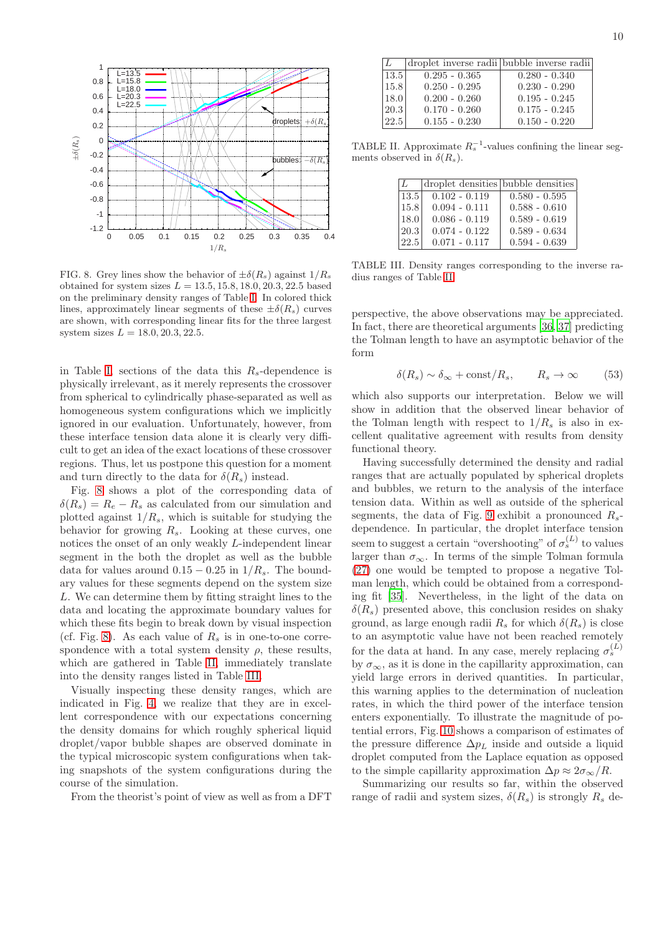

<span id="page-9-1"></span>FIG. 8. Grey lines show the behavior of  $\pm \delta(R_s)$  against  $1/R_s$ obtained for system sizes  $L = 13.5, 15.8, 18.0, 20.3, 22.5$  based on the preliminary density ranges of Table [I.](#page-8-1) In colored thick lines, approximately linear segments of these  $\pm \delta(R_s)$  curves are shown, with corresponding linear fits for the three largest system sizes  $L = 18.0, 20.3, 22.5$ .

in Table [I,](#page-8-1) sections of the data this  $R_s$ -dependence is physically irrelevant, as it merely represents the crossover from spherical to cylindrically phase-separated as well as homogeneous system configurations which we implicitly ignored in our evaluation. Unfortunately, however, from these interface tension data alone it is clearly very difficult to get an idea of the exact locations of these crossover regions. Thus, let us postpone this question for a moment and turn directly to the data for  $\delta(R_s)$  instead.

Fig. [8](#page-9-1) shows a plot of the corresponding data of  $\delta(R_s) = R_e - R_s$  as calculated from our simulation and plotted against  $1/R_s$ , which is suitable for studying the behavior for growing  $R_s$ . Looking at these curves, one notices the onset of an only weakly L-independent linear segment in the both the droplet as well as the bubble data for values around  $0.15 - 0.25$  in  $1/R_s$ . The boundary values for these segments depend on the system size L. We can determine them by fitting straight lines to the data and locating the approximate boundary values for which these fits begin to break down by visual inspection (cf. Fig. [8\)](#page-9-1). As each value of  $R_s$  is in one-to-one correspondence with a total system density  $\rho$ , these results, which are gathered in Table [II,](#page-9-2) immediately translate into the density ranges listed in Table [III.](#page-9-0)

Visually inspecting these density ranges, which are indicated in Fig. [4,](#page-7-2) we realize that they are in excellent correspondence with our expectations concerning the density domains for which roughly spherical liquid droplet/vapor bubble shapes are observed dominate in the typical microscopic system configurations when taking snapshots of the system configurations during the course of the simulation.

From the theorist's point of view as well as from a DFT

| L    | droplet inverse radii bubble inverse radii |                 |
|------|--------------------------------------------|-----------------|
| 13.5 | $0.295 - 0.365$                            | $0.280 - 0.340$ |
| 15.8 | $0.250 - 0.295$                            | $0.230 - 0.290$ |
| 18.0 | $0.200 - 0.260$                            | $0.195 - 0.245$ |
| 20.3 | $0.170 - 0.260$                            | $0.175 - 0.245$ |
| 22.5 | $0.155 - 0.230$                            | $0.150 - 0.220$ |

TABLE II. Approximate  $R_s^{-1}$ -values confining the linear segments observed in  $\delta(R_s)$ .

<span id="page-9-2"></span>

|      | droplet densities bubble densities |                 |
|------|------------------------------------|-----------------|
| 13.5 | $0.102 - 0.119$                    | $0.580 - 0.595$ |
| 15.8 | $0.094 - 0.111$                    | $0.588 - 0.610$ |
| 18.0 | $0.086 - 0.119$                    | $0.589 - 0.619$ |
| 20.3 | $0.074 - 0.122$                    | $0.589 - 0.634$ |
| 22.5 | $0.071 - 0.117$                    | $0.594 - 0.639$ |
|      |                                    |                 |

<span id="page-9-0"></span>TABLE III. Density ranges corresponding to the inverse radius ranges of Table [II.](#page-9-2)

perspective, the above observations may be appreciated. In fact, there are theoretical arguments [\[36](#page-16-30), [37](#page-16-31)] predicting the Tolman length to have an asymptotic behavior of the form

<span id="page-9-3"></span>
$$
\delta(R_s) \sim \delta_{\infty} + \text{const}/R_s, \qquad R_s \to \infty \tag{53}
$$

which also supports our interpretation. Below we will show in addition that the observed linear behavior of the Tolman length with respect to  $1/R_s$  is also in excellent qualitative agreement with results from density functional theory.

Having successfully determined the density and radial ranges that are actually populated by spherical droplets and bubbles, we return to the analysis of the interface tension data. Within as well as outside of the spherical segments, the data of Fig. [9](#page-10-0) exhibit a pronounced  $R_s$ dependence. In particular, the droplet interface tension seem to suggest a certain "overshooting" of  $\sigma_s^{(L)}$  to values larger than  $\sigma_{\infty}$ . In terms of the simple Tolman formula [\(27\)](#page-4-3) one would be tempted to propose a negative Tolman length, which could be obtained from a corresponding fit [\[35](#page-16-29)]. Nevertheless, in the light of the data on  $\delta(R_s)$  presented above, this conclusion resides on shaky ground, as large enough radii  $R_s$  for which  $\delta(R_s)$  is close to an asymptotic value have not been reached remotely for the data at hand. In any case, merely replacing  $\sigma_s^{(L)}$ by  $\sigma_{\infty}$ , as it is done in the capillarity approximation, can yield large errors in derived quantities. In particular, this warning applies to the determination of nucleation rates, in which the third power of the interface tension enters exponentially. To illustrate the magnitude of potential errors, Fig. [10](#page-10-1) shows a comparison of estimates of the pressure difference  $\Delta p_L$  inside and outside a liquid droplet computed from the Laplace equation as opposed to the simple capillarity approximation  $\Delta p \approx 2\sigma_{\infty}/R$ .

Summarizing our results so far, within the observed range of radii and system sizes,  $\delta(R_s)$  is strongly  $R_s$  de-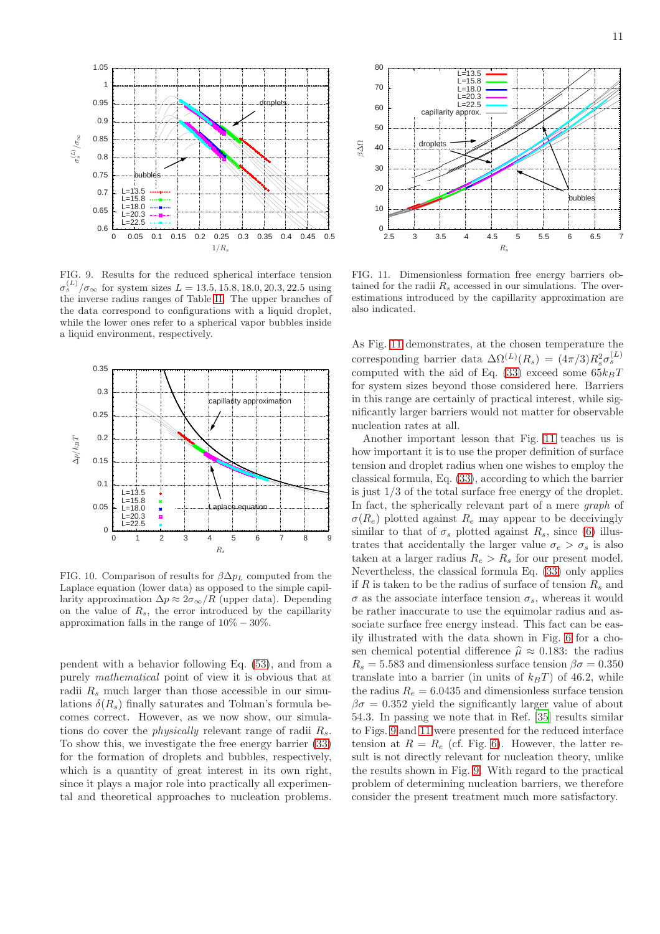

<span id="page-10-0"></span>FIG. 9. Results for the reduced spherical interface tension  $\sigma_s^{(L)}/\sigma_{\infty}$  for system sizes  $L = 13.5, 15.8, 18.0, 20.3, 22.5$  using the inverse radius ranges of Table [II.](#page-9-2) The upper branches of the data correspond to configurations with a liquid droplet, while the lower ones refer to a spherical vapor bubbles inside a liquid environment, respectively.



<span id="page-10-1"></span>FIG. 10. Comparison of results for  $\beta \Delta p_L$  computed from the Laplace equation (lower data) as opposed to the simple capillarity approximation  $\Delta p \approx 2\sigma_{\infty}/R$  (upper data). Depending on the value of  $R_s$ , the error introduced by the capillarity approximation falls in the range of  $10\% - 30\%$ .

pendent with a behavior following Eq. [\(53\)](#page-9-3), and from a purely mathematical point of view it is obvious that at radii  $R_s$  much larger than those accessible in our simulations  $\delta(R_s)$  finally saturates and Tolman's formula becomes correct. However, as we now show, our simulations do cover the *physically* relevant range of radii  $R_s$ . To show this, we investigate the free energy barrier [\(33\)](#page-4-6) for the formation of droplets and bubbles, respectively, which is a quantity of great interest in its own right, since it plays a major role into practically all experimental and theoretical approaches to nucleation problems.



<span id="page-10-2"></span>FIG. 11. Dimensionless formation free energy barriers obtained for the radii  $R_s$  accessed in our simulations. The overestimations introduced by the capillarity approximation are also indicated.

As Fig. [11](#page-10-2) demonstrates, at the chosen temperature the corresponding barrier data  $\Delta \Omega^{(L)}(R_s) = (4\pi/3)R_s^2 \sigma_s^{(L)}$ computed with the aid of Eq. [\(33\)](#page-4-6) exceed some  $65k_BT$ for system sizes beyond those considered here. Barriers in this range are certainly of practical interest, while significantly larger barriers would not matter for observable nucleation rates at all.

Another important lesson that Fig. [11](#page-10-2) teaches us is how important it is to use the proper definition of surface tension and droplet radius when one wishes to employ the classical formula, Eq. [\(33\)](#page-4-6), according to which the barrier is just 1/3 of the total surface free energy of the droplet. In fact, the spherically relevant part of a mere graph of  $\sigma(R_e)$  plotted against  $R_e$  may appear to be deceivingly similar to that of  $\sigma_s$  plotted against  $R_s$ , since [\(6\)](#page-8-2) illustrates that accidentally the larger value  $\sigma_e > \sigma_s$  is also taken at a larger radius  $R_e > R_s$  for our present model. Nevertheless, the classical formula Eq. [\(33\)](#page-4-6) only applies if R is taken to be the radius of surface of tension  $R_s$  and  $\sigma$  as the associate interface tension  $\sigma_s$ , whereas it would be rather inaccurate to use the equimolar radius and associate surface free energy instead. This fact can be easily illustrated with the data shown in Fig. [6](#page-8-2) for a chosen chemical potential difference  $\hat{\mu} \approx 0.183$ : the radius  $R_s = 5.583$  and dimensionless surface tension  $\beta \sigma = 0.350$ translate into a barrier (in units of  $k_BT$ ) of 46.2, while the radius  $R_e = 6.0435$  and dimensionless surface tension  $\beta\sigma = 0.352$  yield the significantly larger value of about 54.3. In passing we note that in Ref. [\[35\]](#page-16-29) results similar to Figs. [9](#page-10-0) and [11](#page-10-2) were presented for the reduced interface tension at  $R = R_e$  (cf. Fig. [6\)](#page-8-2). However, the latter result is not directly relevant for nucleation theory, unlike the results shown in Fig. [9.](#page-10-0) With regard to the practical problem of determining nucleation barriers, we therefore consider the present treatment much more satisfactory.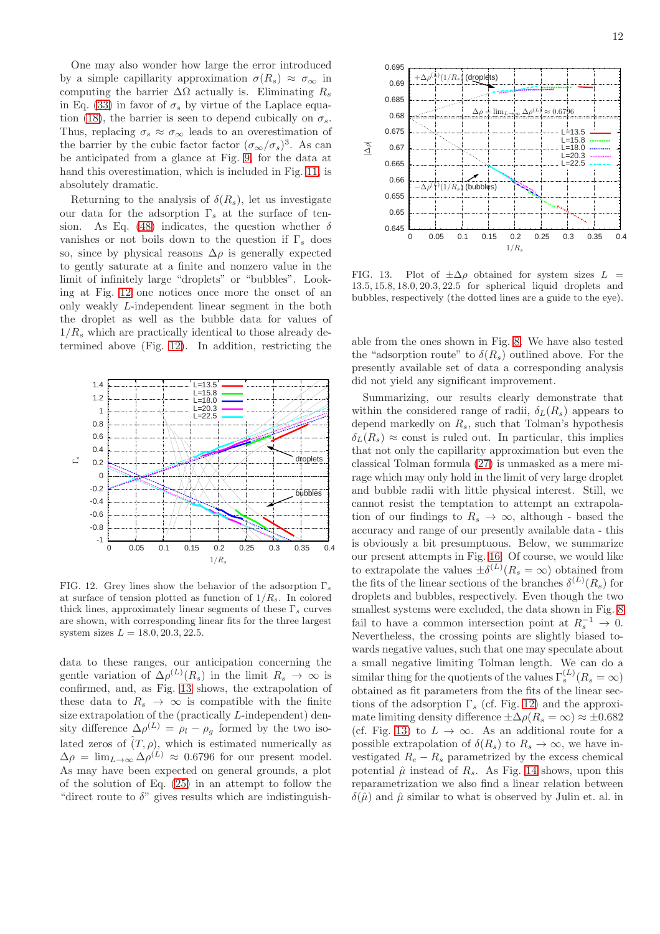One may also wonder how large the error introduced by a simple capillarity approximation  $\sigma(R_s) \approx \sigma_{\infty}$  in computing the barrier  $\Delta\Omega$  actually is. Eliminating  $R_s$ in Eq. [\(33\)](#page-4-6) in favor of  $\sigma_s$  by virtue of the Laplace equa-tion [\(18\)](#page-3-7), the barrier is seen to depend cubically on  $\sigma_s$ . Thus, replacing  $\sigma_s \approx \sigma_\infty$  leads to an overestimation of the barrier by the cubic factor factor  $(\sigma_{\infty}/\sigma_s)^3$ . As can be anticipated from a glance at Fig. [9,](#page-10-0) for the data at hand this overestimation, which is included in Fig. [11,](#page-10-2) is absolutely dramatic.

Returning to the analysis of  $\delta(R_s)$ , let us investigate our data for the adsorption  $\Gamma_s$  at the surface of ten-sion. As Eq. [\(48\)](#page-6-0) indicates, the question whether  $\delta$ vanishes or not boils down to the question if  $\Gamma_s$  does so, since by physical reasons  $\Delta \rho$  is generally expected to gently saturate at a finite and nonzero value in the limit of infinitely large "droplets" or "bubbles". Looking at Fig. [12](#page-11-0) one notices once more the onset of an only weakly L-independent linear segment in the both the droplet as well as the bubble data for values of  $1/R_s$  which are practically identical to those already determined above (Fig. [12\)](#page-11-0). In addition, restricting the



<span id="page-11-0"></span>FIG. 12. Grey lines show the behavior of the adsorption  $\Gamma_s$ at surface of tension plotted as function of  $1/R_s$ . In colored thick lines, approximately linear segments of these  $\Gamma_s$  curves are shown, with corresponding linear fits for the three largest system sizes  $L = 18.0, 20.3, 22.5$ .

data to these ranges, our anticipation concerning the gentle variation of  $\Delta \rho^{(L)}(R_s)$  in the limit  $R_s \to \infty$  is confirmed, and, as Fig. [13](#page-11-1) shows, the extrapolation of these data to  $R_s \rightarrow \infty$  is compatible with the finite size extrapolation of the (practically L-independent) density difference  $\Delta \rho^{(L)} = \rho_l - \rho_g$  formed by the two isolated zeros of  $(T, \rho)$ , which is estimated numerically as  $\Delta \rho = \lim_{L \to \infty} \Delta \rho^{(L)} \approx 0.6796$  for our present model. As may have been expected on general grounds, a plot of the solution of Eq. [\(25\)](#page-4-4) in an attempt to follow the "direct route to  $\delta$ " gives results which are indistinguish-



<span id="page-11-1"></span>FIG. 13. Plot of  $\pm \Delta \rho$  obtained for system sizes  $L =$ 13.5, 15.8, 18.0, 20.3, 22.5 for spherical liquid droplets and bubbles, respectively (the dotted lines are a guide to the eye).

able from the ones shown in Fig. [8.](#page-9-1) We have also tested the "adsorption route" to  $\delta(R_s)$  outlined above. For the presently available set of data a corresponding analysis did not yield any significant improvement.

Summarizing, our results clearly demonstrate that within the considered range of radii,  $\delta_L(R_s)$  appears to depend markedly on  $R_s$ , such that Tolman's hypothesis  $\delta_L(R_s) \approx$  const is ruled out. In particular, this implies that not only the capillarity approximation but even the classical Tolman formula [\(27\)](#page-4-3) is unmasked as a mere mirage which may only hold in the limit of very large droplet and bubble radii with little physical interest. Still, we cannot resist the temptation to attempt an extrapolation of our findings to  $R_s \to \infty$ , although - based the accuracy and range of our presently available data - this is obviously a bit presumptuous. Below, we summarize our present attempts in Fig. [16.](#page-13-0) Of course, we would like to extrapolate the values  $\pm \delta^{(L)}(R_s = \infty)$  obtained from the fits of the linear sections of the branches  $\delta^{(L)}(R_s)$  for droplets and bubbles, respectively. Even though the two smallest systems were excluded, the data shown in Fig. [8](#page-9-1) fail to have a common intersection point at  $R_s^{-1} \rightarrow 0$ . Nevertheless, the crossing points are slightly biased towards negative values, such that one may speculate about a small negative limiting Tolman length. We can do a similar thing for the quotients of the values  $\Gamma_s^{(L)}(R_s = \infty)$ obtained as fit parameters from the fits of the linear sections of the adsorption  $\Gamma_s$  (cf. Fig. [12\)](#page-11-0) and the approximate limiting density difference  $\pm \Delta \rho (R_s = \infty) \approx \pm 0.682$ (cf. Fig. [13\)](#page-11-1) to  $L \to \infty$ . As an additional route for a possible extrapolation of  $\delta(R_s)$  to  $R_s \to \infty$ , we have investigated  $R_e - R_s$  parametrized by the excess chemical potential  $\hat{\mu}$  instead of  $R_s$ . As Fig. [14](#page-12-0) shows, upon this reparametrization we also find a linear relation between  $\delta(\hat{\mu})$  and  $\hat{\mu}$  similar to what is observed by Julin et. al. in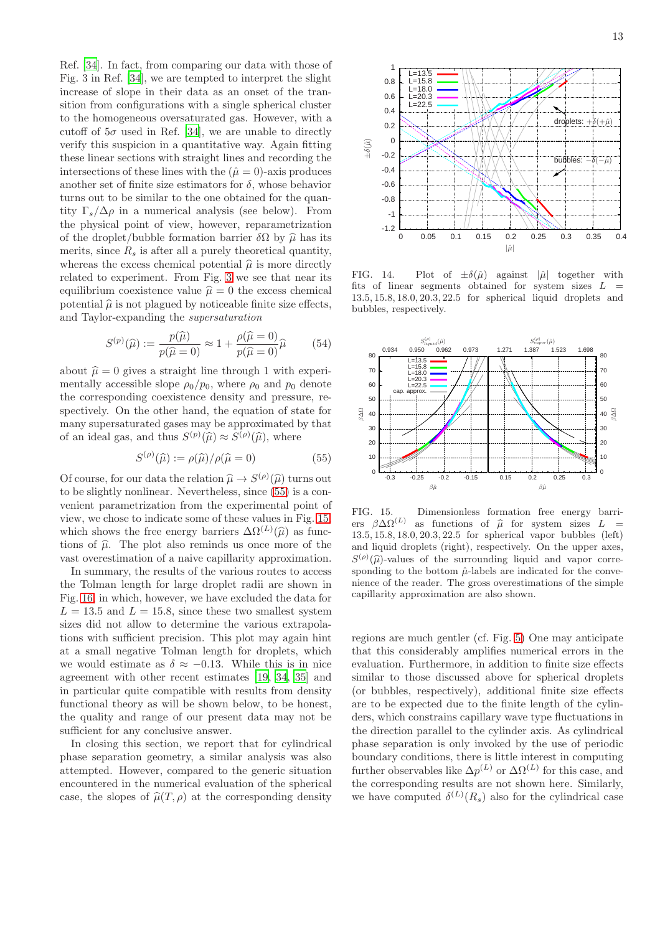Ref. [\[34](#page-16-28)]. In fact, from comparing our data with those of Fig. 3 in Ref. [\[34\]](#page-16-28), we are tempted to interpret the slight increase of slope in their data as an onset of the transition from configurations with a single spherical cluster to the homogeneous oversaturated gas. However, with a cutoff of  $5\sigma$  used in Ref. [\[34\]](#page-16-28), we are unable to directly verify this suspicion in a quantitative way. Again fitting these linear sections with straight lines and recording the intersections of these lines with the  $(\hat{\mu} = 0)$ -axis produces another set of finite size estimators for  $\delta$ , whose behavior turns out to be similar to the one obtained for the quantity  $\Gamma_s/\Delta\rho$  in a numerical analysis (see below). From the physical point of view, however, reparametrization of the droplet/bubble formation barrier  $\delta\Omega$  by  $\hat{\mu}$  has its merits, since  $R_s$  is after all a purely theoretical quantity, whereas the excess chemical potential  $\hat{\mu}$  is more directly related to experiment. From Fig. [3](#page-7-1) we see that near its equilibrium coexistence value  $\hat{\mu} = 0$  the excess chemical potential  $\hat{\mu}$  is not plagued by noticeable finite size effects, and Taylor-expanding the supersaturation

$$
S^{(p)}(\widehat{\mu}) := \frac{p(\widehat{\mu})}{p(\widehat{\mu} = 0)} \approx 1 + \frac{\rho(\widehat{\mu} = 0)}{p(\widehat{\mu} = 0)} \widehat{\mu}
$$
(54)

about  $\hat{\mu} = 0$  gives a straight line through 1 with experimentally accessible slope  $\rho_0/p_0$ , where  $\rho_0$  and  $p_0$  denote the corresponding coexistence density and pressure, respectively. On the other hand, the equation of state for many supersaturated gases may be approximated by that of an ideal gas, and thus  $S^{(p)}(\widehat{\mu}) \approx S^{(\rho)}(\widehat{\mu})$ , where

<span id="page-12-1"></span>
$$
S^{(\rho)}(\widehat{\mu}) := \rho(\widehat{\mu})/\rho(\widehat{\mu} = 0)
$$
\n(55)

Of course, for our data the relation  $\hat{\mu} \to S^{(\rho)}(\hat{\mu})$  turns out to be slightly nonlinear. Nevertheless, since [\(55\)](#page-12-1) is a convenient parametrization from the experimental point of view, we chose to indicate some of these values in Fig. [15,](#page-12-2) which shows the free energy barriers  $\Delta \Omega^{(L)}(\hat{\mu})$  as func-<br>time of  $\hat{\Sigma}$ . The also because the summary of the tions of  $\hat{\mu}$ . The plot also reminds us once more of the vast overestimation of a naive capillarity approximation.

In summary, the results of the various routes to access the Tolman length for large droplet radii are shown in Fig. [16,](#page-13-0) in which, however, we have excluded the data for  $L = 13.5$  and  $L = 15.8$ , since these two smallest system sizes did not allow to determine the various extrapolations with sufficient precision. This plot may again hint at a small negative Tolman length for droplets, which we would estimate as  $\delta \approx -0.13$ . While this is in nice agreement with other recent estimates [\[19,](#page-16-13) [34,](#page-16-28) [35\]](#page-16-29) and in particular quite compatible with results from density functional theory as will be shown below, to be honest, the quality and range of our present data may not be sufficient for any conclusive answer.

In closing this section, we report that for cylindrical phase separation geometry, a similar analysis was also attempted. However, compared to the generic situation encountered in the numerical evaluation of the spherical case, the slopes of  $\hat{\mu}(T, \rho)$  at the corresponding density



<span id="page-12-0"></span>FIG. 14. Plot of  $\pm \delta(\hat{\mu})$  against  $|\hat{\mu}|$  together with fits of linear segments obtained for system sizes  $L =$ 13.5, 15.8, 18.0, 20.3, 22.5 for spherical liquid droplets and bubbles, respectively.



<span id="page-12-2"></span>FIG. 15. Dimensionless formation free energy barriers  $\beta \Delta \Omega^{(L)}$  as functions of  $\hat{\mu}$  for system sizes  $L =$ 13.5, 15.8, 18.0, 20.3, 22.5 for spherical vapor bubbles (left) and liquid droplets (right), respectively. On the upper axes,  $S^{(\rho)}(\widehat{\mu})$ -values of the surrounding liquid and vapor corresponding to the bottom  $\hat{\mu}$ -labels are indicated for the convenience of the reader. The gross overestimations of the simple capillarity approximation are also shown.

regions are much gentler (cf. Fig. [5\)](#page-8-0) One may anticipate that this considerably amplifies numerical errors in the evaluation. Furthermore, in addition to finite size effects similar to those discussed above for spherical droplets (or bubbles, respectively), additional finite size effects are to be expected due to the finite length of the cylinders, which constrains capillary wave type fluctuations in the direction parallel to the cylinder axis. As cylindrical phase separation is only invoked by the use of periodic boundary conditions, there is little interest in computing further observables like  $\Delta p^{(L)}$  or  $\Delta \Omega^{(L)}$  for this case, and the corresponding results are not shown here. Similarly, we have computed  $\delta^{(L)}(R_s)$  also for the cylindrical case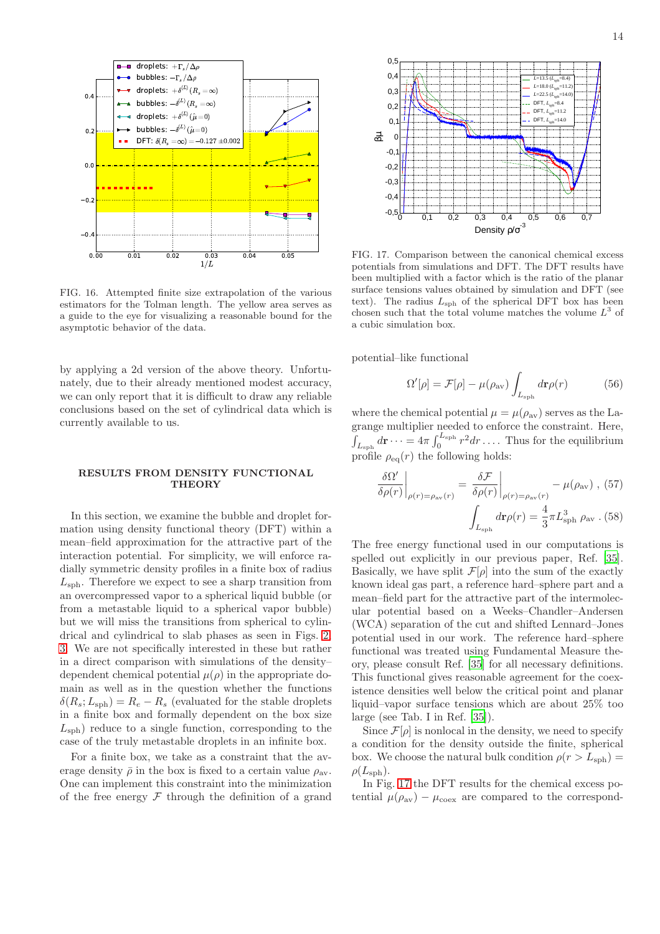

<span id="page-13-0"></span>FIG. 16. Attempted finite size extrapolation of the various estimators for the Tolman length. The yellow area serves as a guide to the eye for visualizing a reasonable bound for the asymptotic behavior of the data.

by applying a 2d version of the above theory. Unfortunately, due to their already mentioned modest accuracy, we can only report that it is difficult to draw any reliable conclusions based on the set of cylindrical data which is currently available to us.

#### RESULTS FROM DENSITY FUNCTIONAL **THEORY**

In this section, we examine the bubble and droplet formation using density functional theory (DFT) within a mean–field approximation for the attractive part of the interaction potential. For simplicity, we will enforce radially symmetric density profiles in a finite box of radius  $L_{\rm sph}$ . Therefore we expect to see a sharp transition from an overcompressed vapor to a spherical liquid bubble (or from a metastable liquid to a spherical vapor bubble) but we will miss the transitions from spherical to cylindrical and cylindrical to slab phases as seen in Figs. [2,](#page-7-0) [3.](#page-7-1) We are not specifically interested in these but rather in a direct comparison with simulations of the density– dependent chemical potential  $\mu(\rho)$  in the appropriate domain as well as in the question whether the functions  $\delta(R_s; L_{\rm sph}) = R_e - R_s$  (evaluated for the stable droplets in a finite box and formally dependent on the box size  $L<sub>sph</sub>$ ) reduce to a single function, corresponding to the case of the truly metastable droplets in an infinite box.

For a finite box, we take as a constraint that the average density  $\bar{\rho}$  in the box is fixed to a certain value  $\rho_{av}$ . One can implement this constraint into the minimization of the free energy  $\mathcal F$  through the definition of a grand



<span id="page-13-1"></span>FIG. 17. Comparison between the canonical chemical excess potentials from simulations and DFT. The DFT results have been multiplied with a factor which is the ratio of the planar surface tensions values obtained by simulation and DFT (see text). The radius  $L_{\rm sph}$  of the spherical DFT box has been chosen such that the total volume matches the volume  $L^3$  of a cubic simulation box.

potential–like functional

$$
\Omega'[\rho] = \mathcal{F}[\rho] - \mu(\rho_{\text{av}}) \int_{L_{\text{sph}}} d\mathbf{r} \rho(r) \tag{56}
$$

where the chemical potential  $\mu = \mu(\rho_{av})$  serves as the Lagrange multiplier needed to enforce the constraint. Here,  $\int_{L_{\rm sph}} d\mathbf{r} \cdots = 4\pi \int_0^{L_{\rm sph}} r^2 dr \ldots$  Thus for the equilibrium profile  $\rho_{eq}(r)$  the following holds:

$$
\frac{\delta\Omega'}{\delta\rho(r)}\bigg|_{\rho(r)=\rho_{\rm av}(r)} = \frac{\delta\mathcal{F}}{\delta\rho(r)}\bigg|_{\rho(r)=\rho_{\rm av}(r)} - \mu(\rho_{\rm av}) , (57)
$$

$$
\int_{L_{\rm sph}} d\mathbf{r}\rho(r) = \frac{4}{3}\pi L_{\rm sph}^3 \rho_{\rm av} . (58)
$$

The free energy functional used in our computations is spelled out explicitly in our previous paper, Ref. [\[35\]](#page-16-29). Basically, we have split  $\mathcal{F}[\rho]$  into the sum of the exactly known ideal gas part, a reference hard–sphere part and a mean–field part for the attractive part of the intermolecular potential based on a Weeks–Chandler–Andersen (WCA) separation of the cut and shifted Lennard–Jones potential used in our work. The reference hard–sphere functional was treated using Fundamental Measure theory, please consult Ref. [\[35](#page-16-29)] for all necessary definitions. This functional gives reasonable agreement for the coexistence densities well below the critical point and planar liquid–vapor surface tensions which are about 25% too large (see Tab. I in Ref. [\[35](#page-16-29)]).

Since  $\mathcal{F}[\rho]$  is nonlocal in the density, we need to specify a condition for the density outside the finite, spherical box. We choose the natural bulk condition  $\rho(r > L_{\rm sph}) =$  $\rho(L_{\rm sph}).$ 

In Fig. [17](#page-13-1) the DFT results for the chemical excess potential  $\mu(\rho_{av}) - \mu_{coex}$  are compared to the correspond-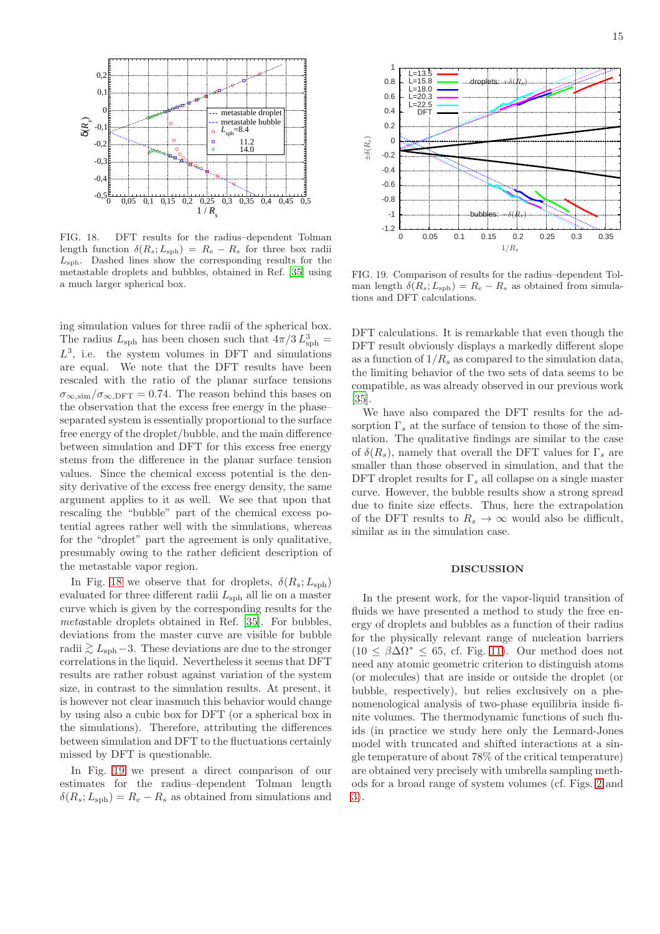

<span id="page-14-0"></span>FIG. 18. DFT results for the radius–dependent Tolman length function  $\delta(R_s; L_{\rm sph}) = R_e - R_s$  for three box radii  $L_{\rm sph}$ . Dashed lines show the corresponding results for the metastable droplets and bubbles, obtained in Ref. [\[35](#page-16-29)] using a much larger spherical box.

ing simulation values for three radii of the spherical box. The radius  $L_{\rm sph}$  has been chosen such that  $4\pi/3 L_{\rm sph}^3 =$  $L^3$ , i.e. the system volumes in DFT and simulations are equal. We note that the DFT results have been rescaled with the ratio of the planar surface tensions  $\sigma_{\infty,\text{sim}}/\sigma_{\infty,\text{DFT}} = 0.74$ . The reason behind this bases on the observation that the excess free energy in the phase– separated system is essentially proportional to the surface free energy of the droplet/bubble, and the main difference between simulation and DFT for this excess free energy stems from the difference in the planar surface tension values. Since the chemical excess potential is the density derivative of the excess free energy density, the same argument applies to it as well. We see that upon that rescaling the "bubble" part of the chemical excess potential agrees rather well with the simulations, whereas for the "droplet" part the agreement is only qualitative, presumably owing to the rather deficient description of the metastable vapor region.

In Fig. [18](#page-14-0) we observe that for droplets,  $\delta(R_s; L_{\rm sph})$ evaluated for three different radii  $L_{\rm sph}$  all lie on a master curve which is given by the corresponding results for the metastable droplets obtained in Ref. [\[35](#page-16-29)]. For bubbles, deviations from the master curve are visible for bubble radii  $\ge L_{\rm sph}$  – 3. These deviations are due to the stronger correlations in the liquid. Nevertheless it seems that DFT results are rather robust against variation of the system size, in contrast to the simulation results. At present, it is however not clear inasmuch this behavior would change by using also a cubic box for DFT (or a spherical box in the simulations). Therefore, attributing the differences between simulation and DFT to the fluctuations certainly missed by DFT is questionable.

In Fig. [19](#page-14-1) we present a direct comparison of our estimates for the radius–dependent Tolman length  $\delta(R_s; L_{\rm sph}) = R_e - R_s$  as obtained from simulations and



<span id="page-14-1"></span>FIG. 19. Comparison of results for the radius–dependent Tolman length  $\delta(R_s; L_{\rm sph}) = R_e - R_s$  as obtained from simulations and DFT calculations.

DFT calculations. It is remarkable that even though the DFT result obviously displays a markedly different slope as a function of  $1/R_s$  as compared to the simulation data, the limiting behavior of the two sets of data seems to be compatible, as was already observed in our previous work [\[35\]](#page-16-29).

We have also compared the DFT results for the adsorption  $\Gamma_s$  at the surface of tension to those of the simulation. The qualitative findings are similar to the case of  $\delta(R_s)$ , namely that overall the DFT values for  $\Gamma_s$  are smaller than those observed in simulation, and that the DFT droplet results for  $\Gamma_s$  all collapse on a single master curve. However, the bubble results show a strong spread due to finite size effects. Thus, here the extrapolation of the DFT results to  $R_s \to \infty$  would also be difficult, similar as in the simulation case.

## DISCUSSION

In the present work, for the vapor-liquid transition of fluids we have presented a method to study the free energy of droplets and bubbles as a function of their radius for the physically relevant range of nucleation barriers  $(10 \leq \beta \Delta \Omega^* \leq 65, \text{ cf. Fig. 11}).$  Our method does not need any atomic geometric criterion to distinguish atoms (or molecules) that are inside or outside the droplet (or bubble, respectively), but relies exclusively on a phenomenological analysis of two-phase equilibria inside finite volumes. The thermodynamic functions of such fluids (in practice we study here only the Lennard-Jones model with truncated and shifted interactions at a single temperature of about 78% of the critical temperature) are obtained very precisely with umbrella sampling methods for a broad range of system volumes (cf. Figs. [2](#page-7-0) and [3\)](#page-7-1).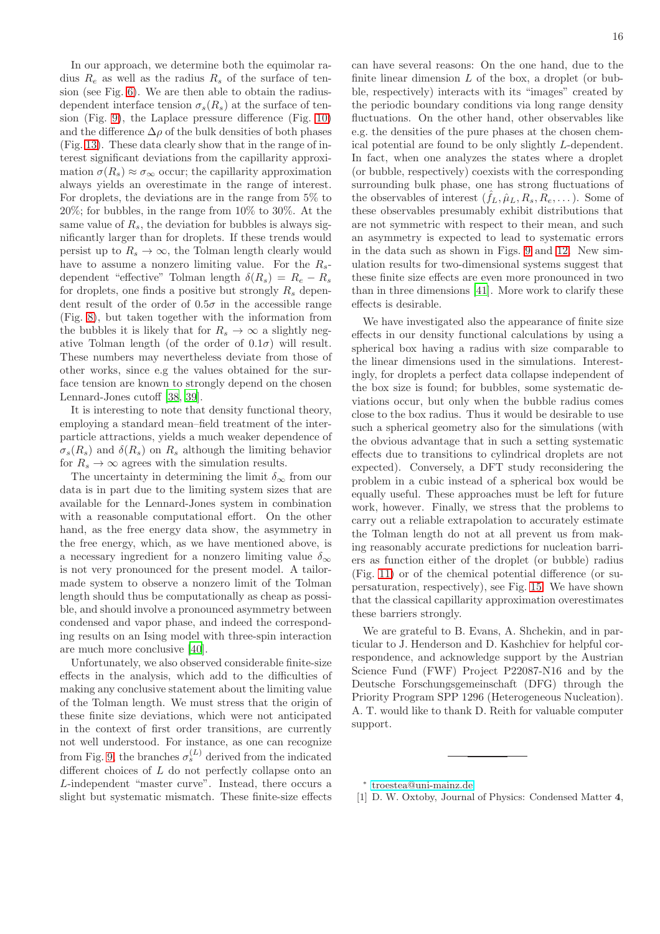In our approach, we determine both the equimolar radius  $R_e$  as well as the radius  $R_s$  of the surface of tension (see Fig. [6\)](#page-8-2). We are then able to obtain the radiusdependent interface tension  $\sigma_s(R_s)$  at the surface of tension (Fig. [9\)](#page-10-0), the Laplace pressure difference (Fig. [10\)](#page-10-1) and the difference  $\Delta \rho$  of the bulk densities of both phases (Fig. [13\)](#page-11-1). These data clearly show that in the range of interest significant deviations from the capillarity approximation  $\sigma(R_s) \approx \sigma_\infty$  occur; the capillarity approximation always yields an overestimate in the range of interest. For droplets, the deviations are in the range from 5% to 20%; for bubbles, in the range from 10% to 30%. At the same value of  $R_s$ , the deviation for bubbles is always significantly larger than for droplets. If these trends would persist up to  $R_s \to \infty$ , the Tolman length clearly would have to assume a nonzero limiting value. For the  $R_s$ dependent "effective" Tolman length  $\delta(R_s) = R_e - R_s$ for droplets, one finds a positive but strongly  $R_s$  dependent result of the order of  $0.5\sigma$  in the accessible range (Fig. [8\)](#page-9-1), but taken together with the information from the bubbles it is likely that for  $R_s \to \infty$  a slightly negative Tolman length (of the order of  $0.1\sigma$ ) will result. These numbers may nevertheless deviate from those of other works, since e.g the values obtained for the surface tension are known to strongly depend on the chosen Lennard-Jones cutoff [\[38](#page-16-32), [39](#page-16-33)].

It is interesting to note that density functional theory, employing a standard mean–field treatment of the interparticle attractions, yields a much weaker dependence of  $\sigma_s(R_s)$  and  $\delta(R_s)$  on  $R_s$  although the limiting behavior for  $R_s \to \infty$  agrees with the simulation results.

The uncertainty in determining the limit  $\delta_{\infty}$  from our data is in part due to the limiting system sizes that are available for the Lennard-Jones system in combination with a reasonable computational effort. On the other hand, as the free energy data show, the asymmetry in the free energy, which, as we have mentioned above, is a necessary ingredient for a nonzero limiting value  $\delta_{\infty}$ is not very pronounced for the present model. A tailormade system to observe a nonzero limit of the Tolman length should thus be computationally as cheap as possible, and should involve a pronounced asymmetry between condensed and vapor phase, and indeed the corresponding results on an Ising model with three-spin interaction are much more conclusive [\[40\]](#page-16-34).

Unfortunately, we also observed considerable finite-size effects in the analysis, which add to the difficulties of making any conclusive statement about the limiting value of the Tolman length. We must stress that the origin of these finite size deviations, which were not anticipated in the context of first order transitions, are currently not well understood. For instance, as one can recognize from Fig. [9,](#page-10-0) the branches  $\sigma_s^{(L)}$  derived from the indicated different choices of L do not perfectly collapse onto an L-independent "master curve". Instead, there occurs a slight but systematic mismatch. These finite-size effects can have several reasons: On the one hand, due to the finite linear dimension  $L$  of the box, a droplet (or bubble, respectively) interacts with its "images" created by the periodic boundary conditions via long range density fluctuations. On the other hand, other observables like e.g. the densities of the pure phases at the chosen chemical potential are found to be only slightly L-dependent. In fact, when one analyzes the states where a droplet (or bubble, respectively) coexists with the corresponding surrounding bulk phase, one has strong fluctuations of the observables of interest  $(f_L, \hat{\mu}_L, R_s, R_e, \dots)$ . Some of these observables presumably exhibit distributions that are not symmetric with respect to their mean, and such an asymmetry is expected to lead to systematic errors in the data such as shown in Figs. [9](#page-10-0) and [12.](#page-11-0) New simulation results for two-dimensional systems suggest that these finite size effects are even more pronounced in two than in three dimensions [\[41](#page-16-35)]. More work to clarify these effects is desirable.

We have investigated also the appearance of finite size effects in our density functional calculations by using a spherical box having a radius with size comparable to the linear dimensions used in the simulations. Interestingly, for droplets a perfect data collapse independent of the box size is found; for bubbles, some systematic deviations occur, but only when the bubble radius comes close to the box radius. Thus it would be desirable to use such a spherical geometry also for the simulations (with the obvious advantage that in such a setting systematic effects due to transitions to cylindrical droplets are not expected). Conversely, a DFT study reconsidering the problem in a cubic instead of a spherical box would be equally useful. These approaches must be left for future work, however. Finally, we stress that the problems to carry out a reliable extrapolation to accurately estimate the Tolman length do not at all prevent us from making reasonably accurate predictions for nucleation barriers as function either of the droplet (or bubble) radius (Fig. [11\)](#page-10-2) or of the chemical potential difference (or supersaturation, respectively), see Fig. [15.](#page-12-2) We have shown that the classical capillarity approximation overestimates these barriers strongly.

We are grateful to B. Evans, A. Shchekin, and in particular to J. Henderson and D. Kashchiev for helpful correspondence, and acknowledge support by the Austrian Science Fund (FWF) Project P22087-N16 and by the Deutsche Forschungsgemeinschaft (DFG) through the Priority Program SPP 1296 (Heterogeneous Nucleation). A. T. would like to thank D. Reith for valuable computer support.

∗ [troestea@uni-mainz.de](mailto:troestea@uni-mainz.de)

<span id="page-15-1"></span><span id="page-15-0"></span>[1] D. W. Oxtoby, Journal of Physics: Condensed Matter 4,